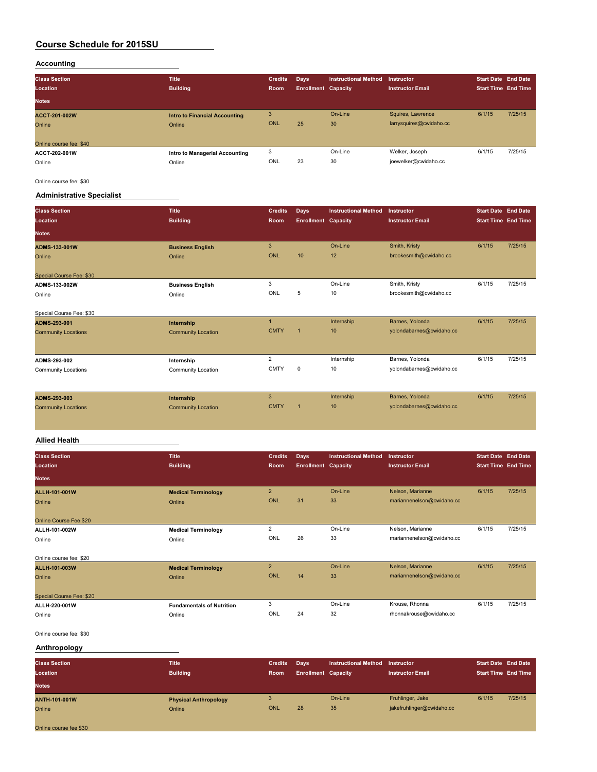#### **Accounting**

| <b>Class Section</b><br>Location<br><b>Notes</b>          | <b>Title</b><br><b>Building</b>                | <b>Credits</b><br>Room | Days<br><b>Enrollment Capacity</b> | <b>Instructional Method</b> | Instructor<br>Instructor Email               | <b>Start Date End Date</b><br><b>Start Time End Time</b> |         |
|-----------------------------------------------------------|------------------------------------------------|------------------------|------------------------------------|-----------------------------|----------------------------------------------|----------------------------------------------------------|---------|
| <b>ACCT-201-002W</b><br>Online<br>Online course fee: \$40 | <b>Intro to Financial Accounting</b><br>Online | 3<br>ONL               | 25                                 | On-Line<br>30               | Squires, Lawrence<br>larrysquires@cwidaho.cc | 6/1/15                                                   | 7/25/15 |
| ACCT-202-001W<br>Online                                   | Intro to Managerial Accounting<br>Online       | 3<br>ONL               | 23                                 | On-Line<br>30               | Welker, Joseph<br>joewelker@cwidaho.cc       | 6/1/15                                                   | 7/25/15 |

Online course fee: \$30

## **Administrative Specialist**

| <b>Class Section</b><br>Location<br><b>Notes</b> | <b>Title</b><br><b>Building</b>   | <b>Credits</b><br>Room | Days<br><b>Enrollment Capacity</b> | <b>Instructional Method</b> | Instructor<br><b>Instructor Email</b>   | <b>Start Date End Date</b><br><b>Start Time End Time</b> |         |
|--------------------------------------------------|-----------------------------------|------------------------|------------------------------------|-----------------------------|-----------------------------------------|----------------------------------------------------------|---------|
| <b>ADMS-133-001W</b><br>Online                   | <b>Business English</b><br>Online | 3<br>ONL               | 10                                 | On-Line<br>12               | Smith, Kristy<br>brookesmith@cwidaho.cc | 6/1/15                                                   | 7/25/15 |
| Special Course Fee: \$30<br>ADMS-133-002W        | <b>Business English</b>           | 3                      |                                    | On-Line                     | Smith, Kristy                           | 6/1/15                                                   | 7/25/15 |
| Online                                           | Online                            | ONL                    | 5                                  | 10                          | brookesmith@cwidaho.cc                  |                                                          |         |

| Special Course Fee: \$30   |                           |             |   |            |                          |        |         |
|----------------------------|---------------------------|-------------|---|------------|--------------------------|--------|---------|
| ADMS-293-001               | Internship                |             |   | Internship | Barnes, Yolonda          | 6/1/15 | 7/25/15 |
| <b>Community Locations</b> | <b>Community Location</b> | <b>CMTY</b> |   | 10         | yolondabarnes@cwidaho.cc |        |         |
|                            |                           |             |   |            |                          |        |         |
| ADMS-293-002               | Internship                |             |   | Internship | Barnes, Yolonda          | 6/1/15 | 7/25/15 |
| Community Locations        | Community Location        | <b>CMTY</b> | 0 | 10         | yolondabarnes@cwidaho.cc |        |         |
|                            |                           |             |   |            |                          |        |         |
|                            |                           |             |   |            |                          |        |         |

| ADMS-293-003               | Internship                |             | Internship       | Barnes, Yolonda          | 6/1/15 | 7/25/15 |
|----------------------------|---------------------------|-------------|------------------|--------------------------|--------|---------|
| <b>Community Locations</b> | <b>Community Location</b> | <b>CMTY</b> | 10 <sup>10</sup> | yolondabarnes@cwidaho.cc |        |         |
|                            |                           |             |                  |                          |        |         |
|                            |                           |             |                  |                          |        |         |

## **Allied Health**

| <b>Class Section</b><br>Location | <b>Title</b><br><b>Building</b>  | <b>Credits</b><br>Room | <b>Days</b><br><b>Enrollment Capacity</b> | <b>Instructional Method</b> | <b>Instructor</b><br><b>Instructor Email</b> | <b>Start Date End Date</b><br><b>Start Time End Time</b> |         |
|----------------------------------|----------------------------------|------------------------|-------------------------------------------|-----------------------------|----------------------------------------------|----------------------------------------------------------|---------|
| <b>Notes</b>                     |                                  |                        |                                           |                             |                                              |                                                          |         |
| ALLH-101-001W                    | <b>Medical Terminology</b>       | $\overline{2}$         |                                           | On-Line                     | Nelson, Marianne                             | 6/1/15                                                   | 7/25/15 |
| Online                           | Online                           | <b>ONL</b>             | 31                                        | 33                          | mariannenelson@cwidaho.cc                    |                                                          |         |
| Online Course Fee \$20           |                                  |                        |                                           |                             |                                              |                                                          |         |
| ALLH-101-002W                    | <b>Medical Terminology</b>       | $\overline{2}$         |                                           | On-Line                     | Nelson, Marianne                             | 6/1/15                                                   | 7/25/15 |
| Online                           | Online                           | ONL                    | 26                                        | 33                          | mariannenelson@cwidaho.cc                    |                                                          |         |
| Online course fee: \$20          |                                  |                        |                                           |                             |                                              |                                                          |         |
| ALLH-101-003W                    | <b>Medical Terminology</b>       | $\overline{2}$         |                                           | On-Line                     | Nelson, Marianne                             | 6/1/15                                                   | 7/25/15 |
| Online                           | Online                           | ONL                    | 14                                        | 33                          | mariannenelson@cwidaho.cc                    |                                                          |         |
| Special Course Fee: \$20         |                                  |                        |                                           |                             |                                              |                                                          |         |
| ALLH-220-001W                    | <b>Fundamentals of Nutrition</b> | 3                      |                                           | On-Line                     | Krouse, Rhonna                               | 6/1/15                                                   | 7/25/15 |
| Online                           | Online                           | ONL                    | 24                                        | 32                          | rhonnakrouse@cwidaho.cc                      |                                                          |         |

#### Online course fee: \$30

## **Anthropology**

| <b>Class Section</b><br>Location<br><b>Notes</b> | <b>Title</b><br><b>Building</b> | <b>Credits</b><br><b>Room</b> | Days<br><b>Enrollment Capacity</b> | <b>Instructional Method</b> | Instructor<br><b>Instructor Email</b> | <b>Start Date End Date</b><br><b>Start Time End Time</b> |         |
|--------------------------------------------------|---------------------------------|-------------------------------|------------------------------------|-----------------------------|---------------------------------------|----------------------------------------------------------|---------|
| <b>ANTH-101-001W</b>                             | <b>Physical Anthropology</b>    | 3                             |                                    | On-Line                     | Fruhlinger, Jake                      | 6/1/15                                                   | 7/25/15 |
| Online                                           | Online                          | <b>ONL</b>                    | 28                                 | 35                          | jakefruhlinger@cwidaho.cc             |                                                          |         |
| Online course fee \$30                           |                                 |                               |                                    |                             |                                       |                                                          |         |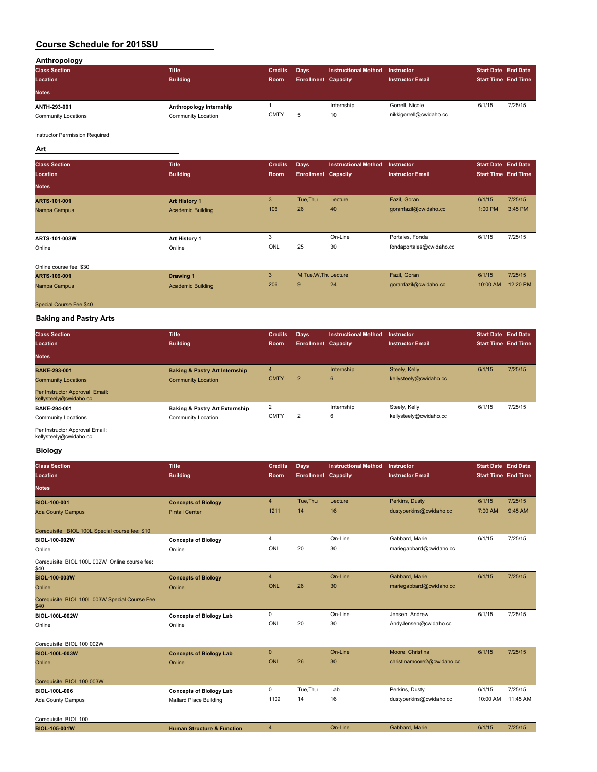| Anthropology         |                         |                |                            |                      |                         |                            |         |
|----------------------|-------------------------|----------------|----------------------------|----------------------|-------------------------|----------------------------|---------|
| <b>Class Section</b> | <b>Title</b>            | <b>Credits</b> | Days                       | Instructional Method | Instructor              | <b>Start Date End Date</b> |         |
| Location             | <b>Building</b>         | <b>Room</b>    | <b>Enrollment Capacity</b> |                      | <b>Instructor Email</b> | <b>Start Time End Time</b> |         |
| <b>Notes</b>         |                         |                |                            |                      |                         |                            |         |
|                      |                         |                |                            |                      |                         |                            |         |
| ANTH-293-001         | Anthropology Internship |                |                            | Internship           | Gorrell, Nicole         | 6/1/15                     | 7/25/15 |

Instructor Permission Required

**Art**

| <b>Class Section</b><br>Location | <b>Title</b><br><b>Building</b> | <b>Credits</b><br>Room | Days<br><b>Enrollment Capacity</b> | <b>Instructional Method</b> | Instructor<br><b>Instructor Email</b> | <b>Start Date End Date</b><br><b>Start Time End Time</b> |         |
|----------------------------------|---------------------------------|------------------------|------------------------------------|-----------------------------|---------------------------------------|----------------------------------------------------------|---------|
| <b>Notes</b>                     |                                 |                        |                                    |                             |                                       |                                                          |         |
| ARTS-101-001                     | <b>Art History 1</b>            | 3                      | Tue, Thu                           | Lecture                     | Fazil, Goran                          | 6/1/15                                                   | 7/25/15 |
| Nampa Campus                     | <b>Academic Building</b>        | 106                    | 26                                 | 40                          | goranfazil@cwidaho.cc                 | 1:00 PM                                                  | 3:45 PM |
| ARTS-101-003W                    | Art History 1                   | 3                      |                                    | On-Line                     | Portales, Fonda                       | 6/1/15                                                   | 7/25/15 |
| Online                           | Online                          | ONL                    | 25                                 | 30                          | fondaportales@cwidaho.cc              |                                                          |         |
| Online course fee: \$30          |                                 |                        |                                    |                             |                                       |                                                          |         |
| ARTS-109-001                     | <b>Drawing 1</b>                | 3                      | M.Tue.W.Thu Lecture                |                             | Fazil, Goran                          | 6/1/15                                                   | 7/25/15 |

| AN D-199-991            | <b>Diawilly I</b>        |     | . |    | .                     |          |          |
|-------------------------|--------------------------|-----|---|----|-----------------------|----------|----------|
| Nampa Campus            | <b>Academic Building</b> | 206 |   | 24 | goranfazil@cwidaho.cc | 10:00 AM | 12:20 PM |
| Special Course Fee \$40 |                          |     |   |    |                       |          |          |

#### **Baking and Pastry Arts**

| <b>Class Section</b>                                     | <b>Title</b>                              | <b>Credits</b> | <b>Days</b>                | <b>Instructional Method</b> | Instructor              | <b>Start Date End Date</b> |         |
|----------------------------------------------------------|-------------------------------------------|----------------|----------------------------|-----------------------------|-------------------------|----------------------------|---------|
| Location                                                 | <b>Building</b>                           | Room           | <b>Enrollment Capacity</b> |                             | <b>Instructor Email</b> | <b>Start Time End Time</b> |         |
| <b>Notes</b>                                             |                                           |                |                            |                             |                         |                            |         |
| <b>BAKE-293-001</b>                                      | <b>Baking &amp; Pastry Art Internship</b> | 4              |                            | Internship                  | Steely, Kelly           | 6/1/15                     | 7/25/15 |
| <b>Community Locations</b>                               | <b>Community Location</b>                 | <b>CMTY</b>    | $\overline{2}$             | 6                           | kellysteely@cwidaho.cc  |                            |         |
| Per Instructor Approval Email:<br>kellysteely@cwidaho.cc |                                           |                |                            |                             |                         |                            |         |
| BAKE-294-001                                             | <b>Baking &amp; Pastry Art Externship</b> | $\overline{c}$ |                            | Internship                  | Steely, Kelly           | 6/1/15                     | 7/25/15 |
| <b>Community Locations</b>                               | Community Location                        | <b>CMTY</b>    | $\overline{2}$             | 6                           | kellysteely@cwidaho.cc  |                            |         |
| Der Ingtruster Annreugt Email:                           |                                           |                |                            |                             |                         |                            |         |

Per Instructor Approval Email: kellysteely@cwidaho.cc

## **Biology**

| <b>Class Section</b><br>Location                        | <b>Title</b><br><b>Building</b>       | <b>Credits</b><br>Room | <b>Days</b><br><b>Enrollment</b> Capacity | <b>Instructional Method</b> | Instructor<br><b>Instructor Email</b> | <b>Start Date End Date</b><br><b>Start Time End Time</b> |          |
|---------------------------------------------------------|---------------------------------------|------------------------|-------------------------------------------|-----------------------------|---------------------------------------|----------------------------------------------------------|----------|
| <b>Notes</b>                                            |                                       |                        |                                           |                             |                                       |                                                          |          |
| <b>BIOL-100-001</b>                                     | <b>Concepts of Biology</b>            | $\overline{4}$         | Tue, Thu                                  | Lecture                     | Perkins, Dusty                        | 6/1/15                                                   | 7/25/15  |
| <b>Ada County Campus</b>                                | <b>Pintail Center</b>                 | 1211                   | 14                                        | 16                          | dustyperkins@cwidaho.cc               | 7:00 AM                                                  | 9:45 AM  |
| Corequisite: BIOL 100L Special course fee: \$10         |                                       |                        |                                           |                             |                                       |                                                          |          |
| BIOL-100-002W                                           | <b>Concepts of Biology</b>            | $\overline{4}$         |                                           | On-Line                     | Gabbard, Marie                        | 6/1/15                                                   | 7/25/15  |
| Online                                                  | Online                                | ONL                    | 20                                        | 30                          | mariegabbard@cwidaho.cc               |                                                          |          |
| Corequisite: BIOL 100L 002W Online course fee:<br>\$40  |                                       |                        |                                           |                             |                                       |                                                          |          |
| <b>BIOL-100-003W</b>                                    | <b>Concepts of Biology</b>            | $\overline{4}$         |                                           | On-Line                     | Gabbard, Marie                        | 6/1/15                                                   | 7/25/15  |
| Online                                                  | Online                                | <b>ONL</b>             | 26                                        | 30                          | mariegabbard@cwidaho.cc               |                                                          |          |
| Corequisite: BIOL 100L 003W Special Course Fee:<br>\$40 |                                       |                        |                                           |                             |                                       |                                                          |          |
| BIOL-100L-002W                                          | <b>Concepts of Biology Lab</b>        | $\mathbf 0$            |                                           | On-Line                     | Jensen, Andrew                        | 6/1/15                                                   | 7/25/15  |
| Online                                                  | Online                                | ONL                    | 20                                        | 30                          | AndyJensen@cwidaho.cc                 |                                                          |          |
| Corequisite: BIOL 100 002W                              |                                       |                        |                                           |                             |                                       |                                                          |          |
| <b>BIOL-100L-003W</b>                                   | <b>Concepts of Biology Lab</b>        | $\mathbf{0}$           |                                           | On-Line                     | Moore, Christina                      | 6/1/15                                                   | 7/25/15  |
| Online                                                  | Online                                | ONL                    | 26                                        | 30                          | christinamoore2@cwidaho.cc            |                                                          |          |
| Corequisite: BIOL 100 003W                              |                                       |                        |                                           |                             |                                       |                                                          |          |
| BIOL-100L-006                                           | <b>Concepts of Biology Lab</b>        | $\mathbf 0$            | Tue, Thu                                  | Lab                         | Perkins, Dusty                        | 6/1/15                                                   | 7/25/15  |
| Ada County Campus                                       | Mallard Place Building                | 1109                   | 14                                        | 16                          | dustyperkins@cwidaho.cc               | 10:00 AM                                                 | 11:45 AM |
| Corequisite: BIOL 100                                   |                                       |                        |                                           |                             |                                       |                                                          |          |
| <b>BIOL-105-001W</b>                                    | <b>Human Structure &amp; Function</b> | $\overline{4}$         |                                           | On-Line                     | Gabbard, Marie                        | 6/1/15                                                   | 7/25/15  |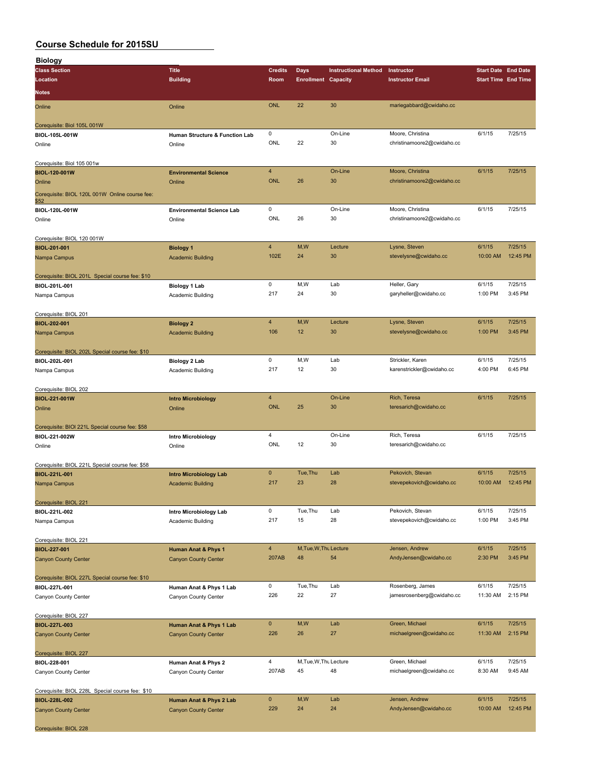| <b>Biology</b>                                                   |                                                 |                |                            |                             |                            |                            |          |
|------------------------------------------------------------------|-------------------------------------------------|----------------|----------------------------|-----------------------------|----------------------------|----------------------------|----------|
| <b>Class Section</b>                                             | <b>Title</b>                                    | <b>Credits</b> | Days                       | <b>Instructional Method</b> | Instructor                 | <b>Start Date End Date</b> |          |
| Location                                                         | <b>Building</b>                                 | Room           | <b>Enrollment Capacity</b> |                             | <b>Instructor Email</b>    | <b>Start Time End Time</b> |          |
| <b>Notes</b>                                                     |                                                 |                |                            |                             |                            |                            |          |
|                                                                  |                                                 |                |                            |                             |                            |                            |          |
| Online                                                           | Online                                          | <b>ONL</b>     | 22                         | 30                          | mariegabbard@cwidaho.cc    |                            |          |
|                                                                  |                                                 |                |                            |                             |                            |                            |          |
| Corequisite: Biol 105L 001W                                      |                                                 | 0              |                            | On-Line                     | Moore, Christina           | 6/1/15                     | 7/25/15  |
| BIOL-105L-001W                                                   | Human Structure & Function Lab                  | ONL            | 22                         | 30                          |                            |                            |          |
| Online                                                           | Online                                          |                |                            |                             | christinamoore2@cwidaho.cc |                            |          |
|                                                                  |                                                 |                |                            |                             |                            |                            |          |
| Corequisite: Biol 105 001w                                       |                                                 | $\overline{4}$ |                            | On-Line                     | Moore, Christina           | 6/1/15                     | 7/25/15  |
| BIOL-120-001W                                                    | <b>Environmental Science</b>                    | <b>ONL</b>     | 26                         | 30                          | christinamoore2@cwidaho.cc |                            |          |
| Online                                                           | Online                                          |                |                            |                             |                            |                            |          |
| Corequisite: BIOL 120L 001W Online course fee:                   |                                                 |                |                            |                             |                            |                            |          |
| \$52                                                             |                                                 | 0              |                            | On-Line                     | Moore, Christina           | 6/1/15                     | 7/25/15  |
| BIOL-120L-001W                                                   | <b>Environmental Science Lab</b>                | ONL            | 26                         | 30                          | christinamoore2@cwidaho.cc |                            |          |
| Online                                                           | Online                                          |                |                            |                             |                            |                            |          |
|                                                                  |                                                 |                |                            |                             |                            |                            |          |
| Corequisite: BIOL 120 001W                                       |                                                 | $\overline{4}$ | M,W                        | Lecture                     | Lysne, Steven              | 6/1/15                     | 7/25/15  |
| BIOL-201-001                                                     | <b>Biology 1</b>                                | 102E           | 24                         | 30                          | stevelysne@cwidaho.cc      | 10:00 AM                   | 12:45 PM |
| Nampa Campus                                                     | <b>Academic Building</b>                        |                |                            |                             |                            |                            |          |
|                                                                  |                                                 |                |                            |                             |                            |                            |          |
| Corequisite: BIOL 201L Special course fee: \$10                  |                                                 | 0              | M, W                       | Lab                         | Heller, Gary               | 6/1/15                     | 7/25/15  |
| BIOL-201L-001                                                    | <b>Biology 1 Lab</b>                            | 217            | 24                         | 30                          | garyheller@cwidaho.cc      | 1:00 PM                    | 3:45 PM  |
| Nampa Campus                                                     | Academic Building                               |                |                            |                             |                            |                            |          |
|                                                                  |                                                 |                |                            |                             |                            |                            |          |
| Corequisite: BIOL 201                                            |                                                 | $\overline{4}$ | M,W                        | Lecture                     | Lysne, Steven              | 6/1/15                     | 7/25/15  |
| BIOL-202-001                                                     | <b>Biology 2</b>                                | 106            | 12                         | 30                          | stevelysne@cwidaho.cc      | 1:00 PM                    | 3:45 PM  |
| Nampa Campus                                                     | <b>Academic Building</b>                        |                |                            |                             |                            |                            |          |
|                                                                  |                                                 |                |                            |                             |                            |                            |          |
| Corequisite: BIOL 202L Special course fee: \$10                  |                                                 | 0              | M, W                       | Lab                         | Strickler, Karen           | 6/1/15                     | 7/25/15  |
| BIOL-202L-001                                                    | Biology 2 Lab                                   | 217            | 12                         | 30                          | karenstrickler@cwidaho.cc  | 4:00 PM                    | 6:45 PM  |
| Nampa Campus                                                     | Academic Building                               |                |                            |                             |                            |                            |          |
|                                                                  |                                                 |                |                            |                             |                            |                            |          |
| Corequisite: BIOL 202                                            |                                                 | $\overline{4}$ |                            | On-Line                     | Rich, Teresa               | 6/1/15                     | 7/25/15  |
| BIOL-221-001W                                                    | <b>Intro Microbiology</b>                       | <b>ONL</b>     | 25                         | 30                          | teresarich@cwidaho.cc      |                            |          |
| Online                                                           | Online                                          |                |                            |                             |                            |                            |          |
|                                                                  |                                                 |                |                            |                             |                            |                            |          |
| Corequisite: BIOI 221L Special course fee: \$58<br>BIOL-221-002W |                                                 | 4              |                            | On-Line                     | Rich, Teresa               | 6/1/15                     | 7/25/15  |
|                                                                  | <b>Intro Microbiology</b>                       | ONL            | 12                         | 30                          | teresarich@cwidaho.cc      |                            |          |
| Online                                                           | Online                                          |                |                            |                             |                            |                            |          |
|                                                                  |                                                 |                |                            |                             |                            |                            |          |
| Corequisite: BIOL 221L Special course fee: \$58<br>BIOL-221L-001 | <b>Intro Microbiology Lab</b>                   | $\mathbf 0$    | Tue, Thu                   | Lab                         | Pekovich, Stevan           | 6/1/15                     | 7/25/15  |
| Nampa Campus                                                     | <b>Academic Building</b>                        | 217            | 23                         | 28                          | stevepekovich@cwidaho.cc   | 10:00 AM                   | 12:45 PM |
|                                                                  |                                                 |                |                            |                             |                            |                            |          |
| Corequisite: BIOL 221                                            |                                                 |                |                            |                             |                            |                            |          |
| BIOL-221L-002                                                    | Intro Microbiology Lab                          | 0              | Tue, Thu                   | Lab                         | Pekovich, Stevan           | 6/1/15                     | 7/25/15  |
| Nampa Campus                                                     | Academic Building                               | 217            | 15                         | 28                          | stevepekovich@cwidaho.cc   | 1:00 PM                    | 3:45 PM  |
|                                                                  |                                                 |                |                            |                             |                            |                            |          |
|                                                                  |                                                 |                |                            |                             |                            |                            |          |
| Corequisite: BIOL 221<br>BIOL-227-001                            | <b>Human Anat &amp; Phys 1</b>                  | $\overline{4}$ | M, Tue, W, Thu Lecture     |                             | Jensen, Andrew             | 6/1/15                     | 7/25/15  |
| <b>Canyon County Center</b>                                      | <b>Canyon County Center</b>                     | 207AB          | 48                         | 54                          | AndyJensen@cwidaho.cc      | 2:30 PM                    | 3:45 PM  |
|                                                                  |                                                 |                |                            |                             |                            |                            |          |
| Corequisite: BIOL 227L Special course fee: \$10                  |                                                 |                |                            |                             |                            |                            |          |
| BIOL-227L-001                                                    |                                                 | 0              | Tue, Thu                   | Lab                         | Rosenberg, James           | 6/1/15                     | 7/25/15  |
|                                                                  | Human Anat & Phys 1 Lab<br>Canyon County Center | 226            | 22                         | 27                          | jamesrosenberg@cwidaho.cc  | 11:30 AM                   | 2:15 PM  |
| Canyon County Center                                             |                                                 |                |                            |                             |                            |                            |          |
| Corequisite: BIOL 227                                            |                                                 |                |                            |                             |                            |                            |          |
| BIOL-227L-003                                                    | Human Anat & Phys 1 Lab                         | $\mathbf 0$    | M, W                       | Lab                         | Green, Michael             | 6/1/15                     | 7/25/15  |
| <b>Canyon County Center</b>                                      | <b>Canyon County Center</b>                     | 226            | 26                         | 27                          | michaelgreen@cwidaho.cc    | 11:30 AM                   | 2:15 PM  |
|                                                                  |                                                 |                |                            |                             |                            |                            |          |
| Corequisite: BIOL 227                                            |                                                 |                |                            |                             |                            |                            |          |
| BIOL-228-001                                                     | Human Anat & Phys 2                             | 4              | M, Tue, W, Thu Lecture     |                             | Green, Michael             | 6/1/15                     | 7/25/15  |
| Canyon County Center                                             | Canyon County Center                            | 207AB          | 45                         | 48                          | michaelgreen@cwidaho.cc    | 8:30 AM                    | 9:45 AM  |
|                                                                  |                                                 |                |                            |                             |                            |                            |          |
| Corequisite: BIOL 228L Special course fee: \$10                  |                                                 |                |                            |                             |                            |                            |          |
| BIOL-228L-002                                                    | Human Anat & Phys 2 Lab                         | $\pmb{0}$      | M,W                        | Lab                         | Jensen, Andrew             | 6/1/15                     | 7/25/15  |
| <b>Canyon County Center</b>                                      | <b>Canyon County Center</b>                     | 229            | 24                         | 24                          | AndyJensen@cwidaho.cc      | 10:00 AM                   | 12:45 PM |
|                                                                  |                                                 |                |                            |                             |                            |                            |          |
|                                                                  |                                                 |                |                            |                             |                            |                            |          |

Corequisite: BIOL 228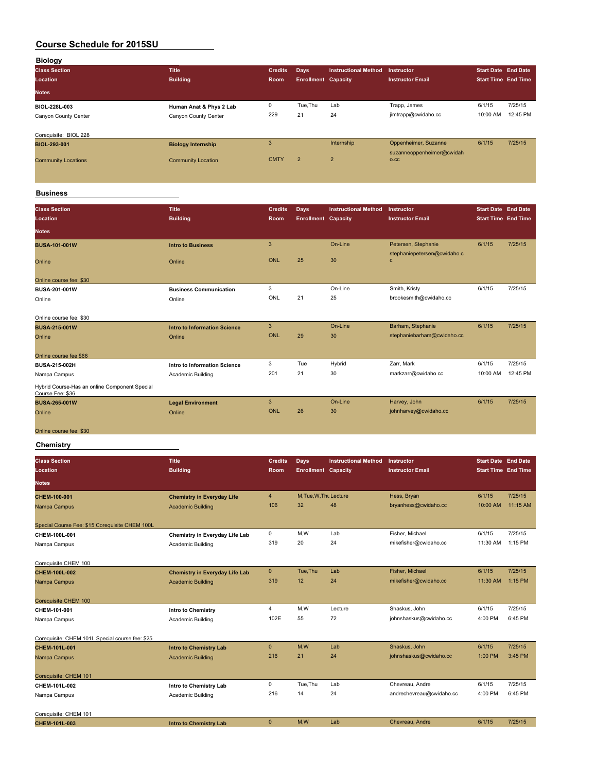| <b>Biology</b>             |                           |                |                            |                             |                           |                            |          |
|----------------------------|---------------------------|----------------|----------------------------|-----------------------------|---------------------------|----------------------------|----------|
| <b>Class Section</b>       | <b>Title</b>              | <b>Credits</b> | <b>Days</b>                | <b>Instructional Method</b> | <b>Instructor</b>         | <b>Start Date</b> End Date |          |
| Location                   | <b>Building</b>           | Room           | <b>Enrollment Capacity</b> |                             | <b>Instructor Email</b>   | <b>Start Time End Time</b> |          |
| <b>Notes</b>               |                           |                |                            |                             |                           |                            |          |
| BIOL-228L-003              | Human Anat & Phys 2 Lab   | 0              | Tue, Thu                   | Lab                         | Trapp, James              | 6/1/15                     | 7/25/15  |
| Canyon County Center       | Canyon County Center      | 229            | 21                         | 24                          | jimtrapp@cwidaho.cc       | 10:00 AM                   | 12:45 PM |
|                            |                           |                |                            |                             |                           |                            |          |
| Corequisite: BIOL 228      |                           |                |                            |                             |                           |                            |          |
| BIOL-293-001               | <b>Biology Internship</b> | 3              |                            | Internship                  | Oppenheimer, Suzanne      | 6/1/15                     | 7/25/15  |
|                            |                           | <b>CMTY</b>    | $\overline{2}$             | $\overline{2}$              | suzanneoppenheimer@cwidah |                            |          |
| <b>Community Locations</b> | <b>Community Location</b> |                |                            |                             | O.CC                      |                            |          |
|                            |                           |                |                            |                             |                           |                            |          |
|                            |                           |                |                            |                             |                           |                            |          |

## **Business**

| <b>Class Section</b>                                              | <b>Title</b>                        | <b>Credits</b> | <b>Days</b>                | <b>Instructional Method</b> | Instructor                                  | <b>Start Date End Date</b> |          |
|-------------------------------------------------------------------|-------------------------------------|----------------|----------------------------|-----------------------------|---------------------------------------------|----------------------------|----------|
| Location                                                          | <b>Building</b>                     | <b>Room</b>    | <b>Enrollment Capacity</b> |                             | <b>Instructor Email</b>                     | <b>Start Time End Time</b> |          |
| <b>Notes</b>                                                      |                                     |                |                            |                             |                                             |                            |          |
| <b>BUSA-101-001W</b>                                              | <b>Intro to Business</b>            | 3              |                            | On-Line                     | Petersen, Stephanie                         | 6/1/15                     | 7/25/15  |
| Online                                                            | Online                              | ONL            | 25                         | 30                          | stephaniepetersen@cwidaho.c<br>$\mathbf{C}$ |                            |          |
| Online course fee: \$30                                           |                                     |                |                            |                             |                                             |                            |          |
| BUSA-201-001W                                                     | <b>Business Communication</b>       | 3              |                            | On-Line                     | Smith, Kristy                               | 6/1/15                     | 7/25/15  |
| Online                                                            | Online                              | ONL            | 21                         | 25                          | brookesmith@cwidaho.cc                      |                            |          |
|                                                                   |                                     |                |                            |                             |                                             |                            |          |
| Online course fee: \$30                                           |                                     |                |                            |                             |                                             |                            |          |
| <b>BUSA-215-001W</b>                                              | <b>Intro to Information Science</b> | 3              |                            | On-Line                     | Barham, Stephanie                           | 6/1/15                     | 7/25/15  |
| Online                                                            | Online                              | ONL            | 29                         | 30                          | stephaniebarham@cwidaho.cc                  |                            |          |
| Online course fee \$66                                            |                                     |                |                            |                             |                                             |                            |          |
| <b>BUSA-215-002H</b>                                              | Intro to Information Science        | 3              | Tue                        | Hybrid                      | Zarr, Mark                                  | 6/1/15                     | 7/25/15  |
| Nampa Campus                                                      | Academic Building                   | 201            | 21                         | 30                          | markzarr@cwidaho.cc                         | 10:00 AM                   | 12:45 PM |
| Hybrid Course-Has an online Component Special<br>Course Fee: \$36 |                                     |                |                            |                             |                                             |                            |          |
| <b>BUSA-265-001W</b>                                              | <b>Legal Environment</b>            | 3              |                            | On-Line                     | Harvey, John                                | 6/1/15                     | 7/25/15  |
| Online                                                            | Online                              | ONL            | 26                         | 30                          | johnharvey@cwidaho.cc                       |                            |          |
|                                                                   |                                     |                |                            |                             |                                             |                            |          |
| Online course fee: \$30                                           |                                     |                |                            |                             |                                             |                            |          |

## **Chemistry**

| <b>Class Section</b><br>Location                | Title<br><b>Building</b>              | <b>Credits</b><br><b>Room</b> | Days<br><b>Enrollment Capacity</b> | <b>Instructional Method</b> | <b>Instructor</b><br><b>Instructor Email</b> | <b>Start Date End Date</b><br><b>Start Time End Time</b> |           |
|-------------------------------------------------|---------------------------------------|-------------------------------|------------------------------------|-----------------------------|----------------------------------------------|----------------------------------------------------------|-----------|
| <b>Notes</b>                                    |                                       |                               |                                    |                             |                                              |                                                          |           |
| CHEM-100-001                                    | <b>Chemistry in Everyday Life</b>     | $\overline{4}$                | M, Tue, W, Thu Lecture             |                             | Hess, Bryan                                  | 6/1/15                                                   | 7/25/15   |
| Nampa Campus                                    | <b>Academic Building</b>              | 106                           | 32                                 | 48                          | bryanhess@cwidaho.cc                         | 10:00 AM                                                 | 11:15 AM  |
| Special Course Fee: \$15 Corequisite CHEM 100L  |                                       |                               |                                    |                             |                                              |                                                          |           |
| CHEM-100L-001                                   | Chemistry in Everyday Life Lab        | $\mathbf 0$                   | M,W                                | Lab                         | Fisher, Michael                              | 6/1/15                                                   | 7/25/15   |
| Nampa Campus                                    | Academic Building                     | 319                           | 20                                 | 24                          | mikefisher@cwidaho.cc                        | 11:30 AM                                                 | 1:15 PM   |
| Corequisite CHEM 100                            |                                       |                               |                                    |                             |                                              |                                                          |           |
| CHEM-100L-002                                   | <b>Chemistry in Everyday Life Lab</b> | $\mathbf{0}$                  | Tue, Thu                           | Lab                         | Fisher, Michael                              | 6/1/15                                                   | 7/25/15   |
| Nampa Campus                                    | <b>Academic Building</b>              | 319                           | 12                                 | 24                          | mikefisher@cwidaho.cc                        | 11:30 AM                                                 | $1:15$ PM |
| Corequisite CHEM 100                            |                                       |                               |                                    |                             |                                              |                                                          |           |
| CHEM-101-001                                    | <b>Intro to Chemistry</b>             | $\overline{4}$                | M,W                                | Lecture                     | Shaskus, John                                | 6/1/15                                                   | 7/25/15   |
| Nampa Campus                                    | Academic Building                     | 102E                          | 55                                 | 72                          | johnshaskus@cwidaho.cc                       | 4:00 PM                                                  | 6:45 PM   |
| Corequisite: CHEM 101L Special course fee: \$25 |                                       |                               |                                    |                             |                                              |                                                          |           |
| CHEM-101L-001                                   | <b>Intro to Chemistry Lab</b>         | $\overline{0}$                | M,W                                | Lab                         | Shaskus, John                                | 6/1/15                                                   | 7/25/15   |
| Nampa Campus                                    | <b>Academic Building</b>              | 216                           | 21                                 | 24                          | johnshaskus@cwidaho.cc                       | 1:00 PM                                                  | 3:45 PM   |
| Corequisite: CHEM 101                           |                                       |                               |                                    |                             |                                              |                                                          |           |
| CHEM-101L-002                                   | Intro to Chemistry Lab                | 0                             | Tue, Thu                           | Lab                         | Chevreau, Andre                              | 6/1/15                                                   | 7/25/15   |
| Nampa Campus                                    | Academic Building                     | 216                           | 14                                 | 24                          | andrechevreau@cwidaho.cc                     | 4:00 PM                                                  | 6:45 PM   |
| Corequisite: CHEM 101                           |                                       |                               |                                    |                             |                                              |                                                          |           |
| CHEM-101L-003                                   | <b>Intro to Chemistry Lab</b>         | $\mathbf{0}$                  | M,W                                | Lab                         | Chevreau, Andre                              | 6/1/15                                                   | 7/25/15   |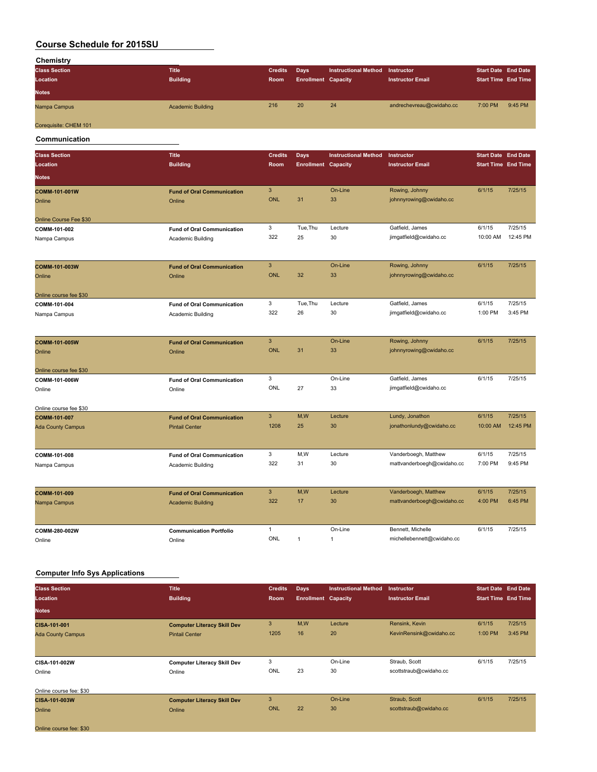| Chemistry             |                          |                |                            |                             |                          |                            |         |
|-----------------------|--------------------------|----------------|----------------------------|-----------------------------|--------------------------|----------------------------|---------|
| <b>Class Section</b>  | <b>Title</b>             | <b>Credits</b> | Days                       | <b>Instructional Method</b> | <b>Instructor</b>        | <b>Start Date End Date</b> |         |
| Location              | <b>Building</b>          | Room           | <b>Enrollment Capacity</b> |                             | <b>Instructor Email</b>  | <b>Start Time End Time</b> |         |
| <b>Notes</b>          |                          |                |                            |                             |                          |                            |         |
| Nampa Campus          | <b>Academic Building</b> | 216            | 20                         | 24                          | andrechevreau@cwidaho.cc | 7:00 PM                    | 9:45 PM |
| Corequisite: CHEM 101 |                          |                |                            |                             |                          |                            |         |

**Communication**

| <b>Class Section</b>     | <b>Title</b>                      | <b>Credits</b> | <b>Days</b>                | <b>Instructional Method</b> | Instructor                 | <b>Start Date End Date</b> |          |
|--------------------------|-----------------------------------|----------------|----------------------------|-----------------------------|----------------------------|----------------------------|----------|
| Location                 | <b>Building</b>                   | Room           | <b>Enrollment Capacity</b> |                             | <b>Instructor Email</b>    | <b>Start Time End Time</b> |          |
| <b>Notes</b>             |                                   |                |                            |                             |                            |                            |          |
| COMM-101-001W            | <b>Fund of Oral Communication</b> | 3              |                            | On-Line                     | Rowing, Johnny             | 6/1/15                     | 7/25/15  |
| Online                   | Online                            | <b>ONL</b>     | 31                         | 33                          | johnnyrowing@cwidaho.cc    |                            |          |
| Online Course Fee \$30   |                                   |                |                            |                             |                            |                            |          |
| COMM-101-002             | <b>Fund of Oral Communication</b> | 3              | Tue, Thu                   | Lecture                     | Gatfield, James            | 6/1/15                     | 7/25/15  |
| Nampa Campus             | Academic Building                 | 322            | 25                         | 30                          | jimgatfield@cwidaho.cc     | 10:00 AM                   | 12:45 PM |
| COMM-101-003W            | <b>Fund of Oral Communication</b> | 3              |                            | On-Line                     | Rowing, Johnny             | 6/1/15                     | 7/25/15  |
| Online                   | Online                            | <b>ONL</b>     | 32                         | 33                          | johnnyrowing@cwidaho.cc    |                            |          |
| Online course fee \$30   |                                   |                |                            |                             |                            |                            |          |
| COMM-101-004             | <b>Fund of Oral Communication</b> | 3              | Tue, Thu                   | Lecture                     | Gatfield, James            | 6/1/15                     | 7/25/15  |
| Nampa Campus             | Academic Building                 | 322            | 26                         | 30                          | jimgatfield@cwidaho.cc     | 1:00 PM                    | 3:45 PM  |
| COMM-101-005W            | <b>Fund of Oral Communication</b> | 3              |                            | On-Line                     | Rowing, Johnny             | 6/1/15                     | 7/25/15  |
| Online                   | Online                            | <b>ONL</b>     | 31                         | 33                          | johnnyrowing@cwidaho.cc    |                            |          |
| Online course fee \$30   |                                   |                |                            |                             |                            |                            |          |
| COMM-101-006W            | <b>Fund of Oral Communication</b> | 3              |                            | On-Line                     | Gatfield, James            | 6/1/15                     | 7/25/15  |
| Online                   | Online                            | ONL            | 27                         | 33                          | jimgatfield@cwidaho.cc     |                            |          |
| Online course fee \$30   |                                   |                |                            |                             |                            |                            |          |
| COMM-101-007             | <b>Fund of Oral Communication</b> | $\mathbf{3}$   | M,W                        | Lecture                     | Lundy, Jonathon            | 6/1/15                     | 7/25/15  |
| <b>Ada County Campus</b> | <b>Pintail Center</b>             | 1208           | 25                         | 30                          | jonathonlundy@cwidaho.cc   | 10:00 AM                   | 12:45 PM |
| COMM-101-008             | <b>Fund of Oral Communication</b> | 3              | M,W                        | Lecture                     | Vanderboegh, Matthew       | 6/1/15                     | 7/25/15  |
| Nampa Campus             | Academic Building                 | 322            | 31                         | 30                          | mattvanderboegh@cwidaho.cc | 7:00 PM                    | 9:45 PM  |
|                          |                                   |                |                            |                             |                            |                            |          |
| COMM-101-009             | <b>Fund of Oral Communication</b> | 3              | M,W                        | Lecture                     | Vanderboegh, Matthew       | 6/1/15                     | 7/25/15  |
| Nampa Campus             | <b>Academic Building</b>          | 322            | 17                         | 30                          | mattvanderboegh@cwidaho.cc | 4:00 PM                    | 6:45 PM  |
|                          |                                   |                |                            |                             |                            |                            |          |
| COMM-280-002W            | <b>Communication Portfolio</b>    | $\mathbf{1}$   |                            | On-Line                     | Bennett, Michelle          | 6/1/15                     | 7/25/15  |
| Online                   | Online                            | ONL            | $\mathbf{1}$               | $\mathbf{1}$                | michellebennett@cwidaho.cc |                            |          |

## **Computer Info Sys Applications**

| <b>Class Section</b><br>Location | <b>Title</b><br><b>Building</b>    | <b>Credits</b><br>Room | <b>Days</b><br><b>Enrollment Capacity</b> | <b>Instructional Method</b> | <b>Instructor</b><br><b>Instructor Email</b> | <b>Start Date End Date</b><br><b>Start Time End Time</b> |         |
|----------------------------------|------------------------------------|------------------------|-------------------------------------------|-----------------------------|----------------------------------------------|----------------------------------------------------------|---------|
| <b>Notes</b>                     |                                    |                        |                                           |                             |                                              |                                                          |         |
| CISA-101-001                     | <b>Computer Literacy Skill Dev</b> | 3                      | M,W                                       | Lecture                     | Rensink, Kevin                               | 6/1/15                                                   | 7/25/15 |
| <b>Ada County Campus</b>         | <b>Pintail Center</b>              | 1205                   | 16                                        | 20                          | KevinRensink@cwidaho.cc                      | 1:00 PM                                                  | 3:45 PM |
|                                  |                                    |                        |                                           |                             |                                              |                                                          |         |
| CISA-101-002W                    | <b>Computer Literacy Skill Dev</b> | 3                      |                                           | On-Line                     | Straub, Scott                                | 6/1/15                                                   | 7/25/15 |
| Online                           | Online                             | ONL                    | 23                                        | 30                          | scottstraub@cwidaho.cc                       |                                                          |         |
| Online course fee: \$30          |                                    |                        |                                           |                             |                                              |                                                          |         |
| CISA-101-003W                    | <b>Computer Literacy Skill Dev</b> | 3                      |                                           | On-Line                     | Straub, Scott                                | 6/1/15                                                   | 7/25/15 |
| Online                           | Online                             | ONL                    | 22                                        | 30                          | scottstraub@cwidaho.cc                       |                                                          |         |
| Online course fee: \$30          |                                    |                        |                                           |                             |                                              |                                                          |         |
|                                  |                                    |                        |                                           |                             |                                              |                                                          |         |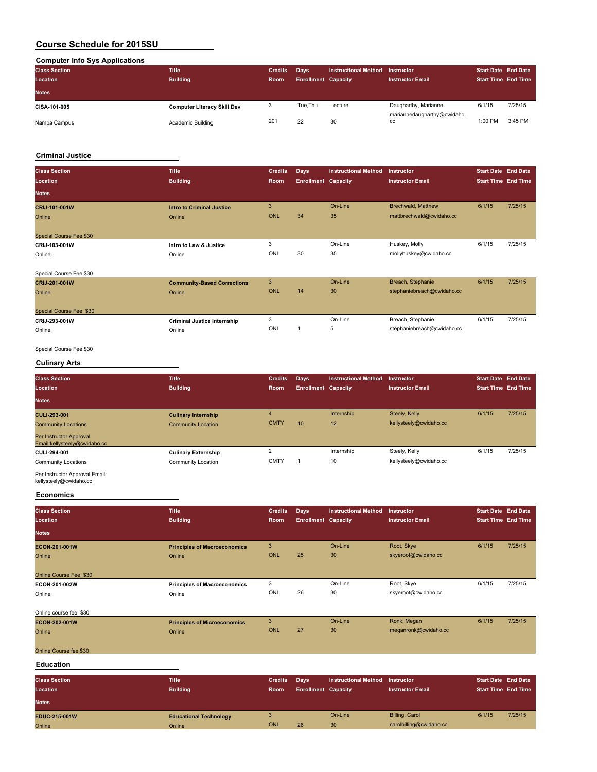## **Computer Info Sys Applications**

| .<br><b>Class Section</b><br>Location | <b>Title</b><br><b>Building</b>    | <b>Credits</b><br><b>Room</b> | <b>Davs</b><br><b>Enrollment Capacity</b> | <b>Instructional Method</b> | <b>Instructor</b><br><b>Instructor Email</b> | <b>Start Date End Date</b><br><b>Start Time End Time</b> |         |
|---------------------------------------|------------------------------------|-------------------------------|-------------------------------------------|-----------------------------|----------------------------------------------|----------------------------------------------------------|---------|
| <b>Notes</b>                          |                                    |                               |                                           |                             |                                              |                                                          |         |
| CISA-101-005                          | <b>Computer Literacy Skill Dev</b> |                               | Tue.Thu                                   | Lecture                     | Daugharthy, Marianne                         | 6/1/15                                                   | 7/25/15 |
| Nampa Campus                          | Academic Building                  | 201                           | 22                                        | 30                          | mariannedaugharthy@cwidaho.<br>CC            | 1:00 PM                                                  | 3:45 PM |

## **Criminal Justice**

| <b>Class Section</b><br>Location | <b>Title</b><br><b>Building</b> | <b>Credits</b><br>Room | Days<br><b>Enrollment Capacity</b> | <b>Instructional Method</b> | Instructor<br><b>Instructor Email</b> | <b>Start Date End Date</b><br><b>Start Time End Time</b> |         |
|----------------------------------|---------------------------------|------------------------|------------------------------------|-----------------------------|---------------------------------------|----------------------------------------------------------|---------|
| <b>Notes</b>                     |                                 |                        |                                    |                             |                                       |                                                          |         |
| <b>CRIJ-101-001W</b>             | Intro to Criminal Justice       | 3                      |                                    | On-Line                     | <b>Brechwald, Matthew</b>             | 6/1/15                                                   | 7/25/15 |
| Online                           | Online                          | <b>ONL</b>             | 34                                 | 35                          | mattbrechwald@cwidaho.cc              |                                                          |         |
|                                  |                                 |                        |                                    |                             |                                       |                                                          |         |
| Special Course Fee \$30          |                                 |                        |                                    |                             |                                       |                                                          |         |
| CRIJ-103-001W                    | Intro to Law & Justice          | 3                      |                                    | On-Line                     | Huskey, Molly                         | 6/1/15                                                   | 7/25/15 |
| Online                           | Online                          | ONL                    | 30                                 | 35                          | mollyhuskey@cwidaho.cc                |                                                          |         |
|                                  |                                 |                        |                                    |                             |                                       |                                                          |         |

| Special Course Fee \$30  |                                    |            |    |         |                            |        |         |
|--------------------------|------------------------------------|------------|----|---------|----------------------------|--------|---------|
| CRIJ-201-001W            | <b>Community-Based Corrections</b> | 3          |    | On-Line | Breach, Stephanie          | 6/1/15 | 7/25/15 |
| Online                   | Online                             | <b>ONL</b> | 14 | 30      | stephaniebreach@cwidaho.cc |        |         |
| Special Course Fee: \$30 |                                    |            |    |         |                            |        |         |
| CRIJ-293-001W            | <b>Criminal Justice Internship</b> |            |    | On-Line | Breach, Stephanie          | 6/1/15 | 7/25/15 |
| Online                   | Online                             | <b>ONL</b> |    | ь       | stephaniebreach@cwidaho.cc |        |         |
|                          |                                    |            |    |         |                            |        |         |

## Special Course Fee \$30

## **Culinary Arts**

| <b>Class Section</b><br>Location                        | <b>Title</b><br><b>Building</b> | <b>Credits</b><br>Room | <b>Days</b><br><b>Enrollment Capacity</b> | <b>Instructional Method</b> | Instructor<br><b>Instructor Email</b> | <b>Start Date End Date</b><br><b>Start Time End Time</b> |         |
|---------------------------------------------------------|---------------------------------|------------------------|-------------------------------------------|-----------------------------|---------------------------------------|----------------------------------------------------------|---------|
| <b>Notes</b>                                            |                                 |                        |                                           |                             |                                       |                                                          |         |
| CULI-293-001                                            | <b>Culinary Internship</b>      | $\overline{4}$         |                                           | Internship                  | Steely, Kelly                         | 6/1/15                                                   | 7/25/15 |
| <b>Community Locations</b>                              | <b>Community Location</b>       | <b>CMTY</b>            | 10                                        | 12                          | kellysteely@cwidaho.cc                |                                                          |         |
| Per Instructor Approval<br>Email:kellysteely@cwidaho.cc |                                 |                        |                                           |                             |                                       |                                                          |         |
| CULI-294-001                                            | <b>Culinary Externship</b>      | $\Omega$               |                                           | Internship                  | Steely, Kelly                         | 6/1/15                                                   | 7/25/15 |
| <b>Community Locations</b><br>_ _ _ _ _ _               | Community Location              | <b>CMTY</b>            |                                           | 10                          | kellysteely@cwidaho.cc                |                                                          |         |

## Per Instructor Approval Email: kellysteely@cwidaho.cc

#### **Economics**

| <b>Class Section</b><br>Location | <b>Title</b><br><b>Building</b>     | <b>Credits</b><br>Room | <b>Days</b><br><b>Enrollment Capacity</b> | <b>Instructional Method</b> | Instructor<br><b>Instructor Email</b> | <b>Start Date End Date</b><br><b>Start Time End Time</b> |         |
|----------------------------------|-------------------------------------|------------------------|-------------------------------------------|-----------------------------|---------------------------------------|----------------------------------------------------------|---------|
| <b>Notes</b>                     |                                     |                        |                                           |                             |                                       |                                                          |         |
| ECON-201-001W                    | <b>Principles of Macroeconomics</b> | 3                      |                                           | On-Line                     | Root, Skye                            | 6/1/15                                                   | 7/25/15 |
| Online                           | Online                              | ONL                    | 25                                        | 30                          | skyeroot@cwidaho.cc                   |                                                          |         |
| Online Course Fee: \$30          |                                     |                        |                                           |                             |                                       |                                                          |         |
| ECON-201-002W                    | <b>Principles of Macroeconomics</b> | 3                      |                                           | On-Line                     | Root, Skye                            | 6/1/15                                                   | 7/25/15 |
| Online                           | Online                              | ONL                    | 26                                        | 30                          | skyeroot@cwidaho.cc                   |                                                          |         |
| Online course fee: \$30          |                                     |                        |                                           |                             |                                       |                                                          |         |
| ECON-202-001W                    | <b>Principles of Microeconomics</b> | 3                      |                                           | On-Line                     | Ronk, Megan                           | 6/1/15                                                   | 7/25/15 |
| Online                           | Online                              | ONL                    | 27                                        | 30                          | meganronk@cwidaho.cc                  |                                                          |         |

## Online Course fee \$30

## **Education**

| <b>Class Section</b><br>Location<br><b>Notes</b> | <b>Title</b><br><b>Building</b> | <b>Credits</b><br><b>Room</b> | Days<br><b>Enrollment Capacity</b> | <b>Instructional Method</b> | Instructor<br><b>Instructor Email</b> | <b>Start Date End Date</b><br><b>Start Time End Time</b> |         |
|--------------------------------------------------|---------------------------------|-------------------------------|------------------------------------|-----------------------------|---------------------------------------|----------------------------------------------------------|---------|
| EDUC-215-001W                                    | <b>Educational Technology</b>   |                               |                                    | On-Line                     | Billing, Carol                        | 6/1/15                                                   | 7/25/15 |
| Online                                           | Online                          | <b>ONL</b>                    | 26                                 | 30                          | carolbilling@cwidaho.cc               |                                                          |         |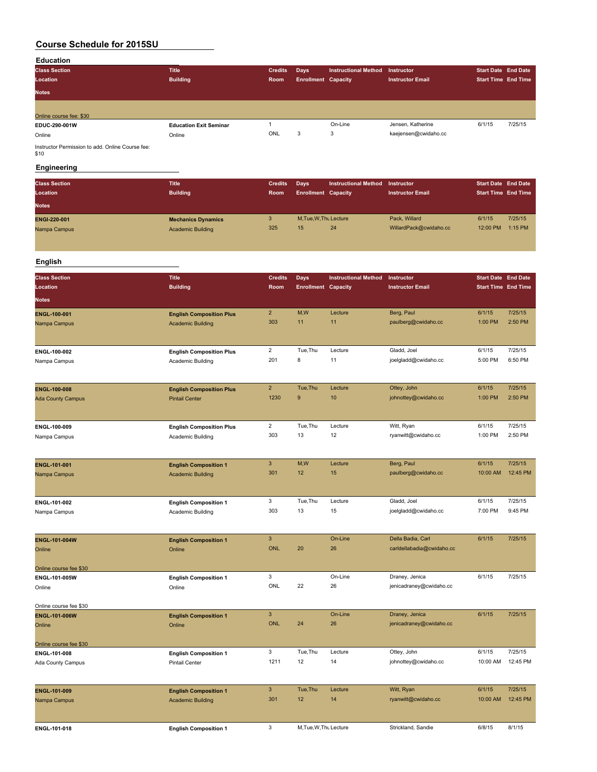#### **Education**

| <b>Class Section</b><br>Location<br><b>Notes</b> | <b>Title</b><br><b>Building</b> | <b>Credits</b><br>Room | Days<br><b>Enrollment Capacity</b> | <b>Instructional Method</b> | Instructor<br><b>Instructor Email</b> | <b>Start Date End Date</b><br><b>Start Time End Time</b> |         |
|--------------------------------------------------|---------------------------------|------------------------|------------------------------------|-----------------------------|---------------------------------------|----------------------------------------------------------|---------|
| Online course fee: \$30                          |                                 |                        |                                    |                             |                                       |                                                          |         |
| EDUC-290-001W                                    | <b>Education Exit Seminar</b>   |                        |                                    | On-Line                     | Jensen, Katherine                     | 6/1/15                                                   | 7/25/15 |
| Online                                           | Online                          | ONL                    | 3                                  | 3                           | kaejensen@cwidaho.cc                  |                                                          |         |

Instructor Permission to add. Online Course fee: \$10

## **Engineering**

| <b>Class Section</b><br>Location<br><b>Notes</b> | <b>Title</b><br><b>Building</b> | <b>Credits</b><br><b>Room</b> | Days<br><b>Enrollment Capacity</b> | Instructional Method | Instructor<br><b>Instructor Email</b> | <b>Start Date End Date</b><br><b>Start Time End Time</b> |         |
|--------------------------------------------------|---------------------------------|-------------------------------|------------------------------------|----------------------|---------------------------------------|----------------------------------------------------------|---------|
| ENGI-220-001                                     | <b>Mechanics Dynamics</b>       | 3                             | M.Tue.W.Thu Lecture                | 24                   | Pack, Willard                         | 6/1/15                                                   | 7/25/15 |
| Nampa Campus                                     | <b>Academic Building</b>        | 325                           | 15                                 |                      | WillardPack@cwidaho.cc                | 12:00 PM                                                 | 1:15 PM |

## **English**

| <b>Class Section</b><br>Location<br><b>Notes</b> | <b>Title</b><br><b>Building</b> | <b>Credits</b><br><b>Room</b> | Days<br><b>Enrollment Capacity</b> | <b>Instructional Method</b> | Instructor<br><b>Instructor Email</b> | <b>Start Date End Date</b><br><b>Start Time End Time</b> |         |
|--------------------------------------------------|---------------------------------|-------------------------------|------------------------------------|-----------------------------|---------------------------------------|----------------------------------------------------------|---------|
| ENGL-100-001                                     | <b>English Composition Plus</b> | $\overline{2}$                | M,W                                | Lecture                     | Berg, Paul                            | 6/1/15                                                   | 7/25/15 |
| Nampa Campus                                     | <b>Academic Building</b>        | 303                           | 11                                 | 11                          | paulberg@cwidaho.cc                   | 1:00 PM                                                  | 2:50 PM |
| ENGL-100-002                                     | <b>English Composition Plus</b> | ົ                             | Tue, Thu                           | Lecture                     | Gladd, Joel                           | 6/1/15                                                   | 7/25/15 |
| Nampa Campus                                     | Academic Building               | 201                           | 8                                  | 11                          | joelgladd@cwidaho.cc                  | 5:00 PM                                                  | 6:50 PM |

| <b>ENGL-100-008</b><br><b>Ada County Campus</b> | <b>English Composition Plus</b><br><b>Pintail Center</b> | 1230 | Tue.Thu<br>9 | Lecture<br>10 <sup>°</sup> | Ottey, John<br>johnottey@cwidaho.cc | 6/1/15<br>1:00 PM | 7/25/15<br>2:50 PM |
|-------------------------------------------------|----------------------------------------------------------|------|--------------|----------------------------|-------------------------------------|-------------------|--------------------|
| <b>ENGL-100-009</b>                             | <b>English Composition Plus</b>                          |      | Tue.Thu      | Lecture                    | Witt, Ryan                          | 6/1/15            | 7/25/15            |
| Nampa Campus                                    | Academic Building                                        | 303  | 13           | 12                         | ryanwitt@cwidaho.cc                 | 1:00 PM           | 2:50 PM            |

| <b>ENGL-101-001</b><br>Nampa Campus | <b>English Composition 1</b><br><b>Academic Building</b> | ◡<br>301 | M,W<br>12 | Lecture<br>15 | Berg, Paul<br>paulberg@cwidaho.cc | 6/1/15<br>10:00 AM | 7/25/15<br>12:45 PM |
|-------------------------------------|----------------------------------------------------------|----------|-----------|---------------|-----------------------------------|--------------------|---------------------|
| ENGL-101-002                        | <b>English Composition 1</b>                             |          | Tue.Thu   | Lecture       | Gladd, Joel                       | 6/1/15             | 7/25/15             |
| Nampa Campus                        | Academic Building                                        | 303      | 13        | 15            | joelgladd@cwidaho.cc              | 7:00 PM            | 9:45 PM             |

| <b>ENGL-101-004W</b><br>Online<br>Online course fee \$30 | <b>English Composition 1</b><br>Online | ONL        | 20 | On-Line<br>26 | Della Badia, Carl<br>carldellabadia@cwidaho.cc | 6/1/15 | 7/25/15 |
|----------------------------------------------------------|----------------------------------------|------------|----|---------------|------------------------------------------------|--------|---------|
| ENGL-101-005W                                            | <b>English Composition 1</b>           |            |    | On-Line       | Draney, Jenica                                 | 6/1/15 | 7/25/15 |
| Online                                                   | Online                                 | <b>ONL</b> | 22 | 26            | jenicadraney@cwidaho.cc                        |        |         |

Online course fee \$30

| <b>ENGL-101-006W</b>   | <b>English Composition 1</b> |      |         | On-Line | Draney, Jenica          | 6/1/15   | 7/25/15  |
|------------------------|------------------------------|------|---------|---------|-------------------------|----------|----------|
| Online                 | Online                       | ONL  | 24      | 26      | jenicadraney@cwidaho.cc |          |          |
|                        |                              |      |         |         |                         |          |          |
| Online course fee \$30 |                              |      |         |         |                         |          |          |
| ENGL-101-008           | <b>English Composition 1</b> |      | Tue.Thu | Lecture | Ottey, John             | 6/1/15   | 7/25/15  |
| Ada County Campus      | Pintail Center               | 121' | 12      | 14      | johnottey@cwidaho.cc    | 10:00 AM | 12:45 PM |

| <b>ENGL-101-009</b> | <b>English Composition 1</b> | 301 | Tue.Thu                | Lecture | Witt, Ryan          | 6/1/15   | 7/25/15  |
|---------------------|------------------------------|-----|------------------------|---------|---------------------|----------|----------|
| Nampa Campus        | <b>Academic Building</b>     |     | 12                     | 14      | ryanwitt@cwidaho.cc | 10:00 AM | 12:45 PM |
| <b>ENGL-101-018</b> | <b>English Composition 1</b> |     | M, Tue, W, Thu Lecture |         | Strickland, Sandie  | 6/8/15   | 8/1/15   |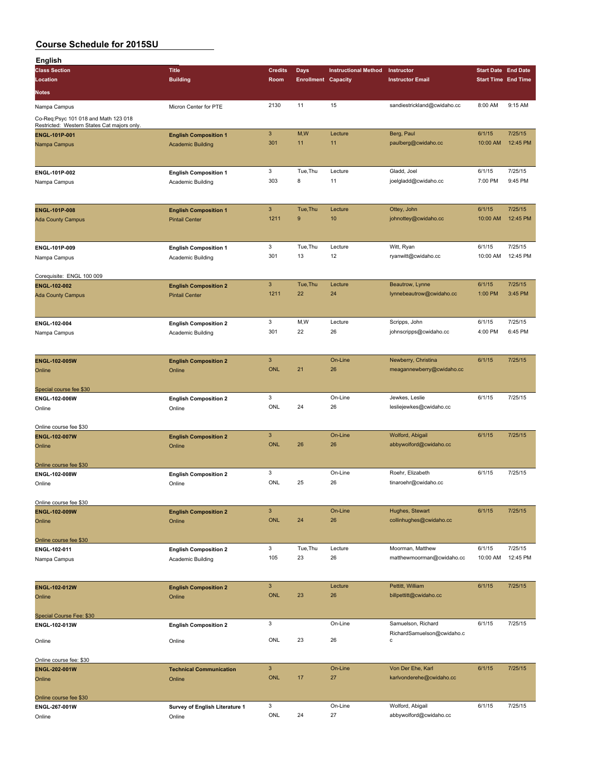| English                                     |                                |                           |                            |                             |                             |                            |          |
|---------------------------------------------|--------------------------------|---------------------------|----------------------------|-----------------------------|-----------------------------|----------------------------|----------|
| <b>Class Section</b>                        | <b>Title</b>                   | <b>Credits</b>            | <b>Days</b>                | <b>Instructional Method</b> | Instructor                  | <b>Start Date End Date</b> |          |
| Location                                    | <b>Building</b>                | Room                      | <b>Enrollment Capacity</b> |                             | <b>Instructor Email</b>     | <b>Start Time End Time</b> |          |
| Notes                                       |                                |                           |                            |                             |                             |                            |          |
|                                             |                                |                           |                            |                             |                             |                            |          |
| Nampa Campus                                | Micron Center for PTE          | 2130                      | 11                         | 15                          | sandiestrickland@cwidaho.cc | 8:00 AM                    | 9:15 AM  |
| Co-Req:Psyc 101 018 and Math 123 018        |                                |                           |                            |                             |                             |                            |          |
| Restricted: Western States Cat majors only. |                                |                           |                            |                             |                             |                            |          |
| ENGL-101P-001                               | <b>English Composition 1</b>   | $\mathbf{3}$              | M,W                        | Lecture                     | Berg, Paul                  | 6/1/15                     | 7/25/15  |
| Nampa Campus                                | <b>Academic Building</b>       | 301                       | 11                         | 11                          | paulberg@cwidaho.cc         | 10:00 AM                   | 12:45 PM |
|                                             |                                |                           |                            |                             |                             |                            |          |
|                                             |                                |                           |                            |                             |                             |                            |          |
| ENGL-101P-002                               | <b>English Composition 1</b>   | 3                         | Tue, Thu                   | Lecture                     | Gladd, Joel                 | 6/1/15                     | 7/25/15  |
| Nampa Campus                                | Academic Building              | 303                       | 8                          | 11                          | joelgladd@cwidaho.cc        | 7:00 PM                    | 9:45 PM  |
|                                             |                                |                           |                            |                             |                             |                            |          |
|                                             |                                |                           |                            |                             |                             |                            |          |
| <b>ENGL-101P-008</b>                        | <b>English Composition 1</b>   | $\mathbf{3}$              | Tue, Thu                   | Lecture                     | Ottey, John                 | 6/1/15                     | 7/25/15  |
|                                             |                                | 1211                      | 9                          | 10                          | johnottey@cwidaho.cc        | 10:00 AM                   | 12:45 PM |
| <b>Ada County Campus</b>                    | <b>Pintail Center</b>          |                           |                            |                             |                             |                            |          |
|                                             |                                |                           |                            |                             |                             |                            |          |
|                                             |                                |                           |                            |                             |                             |                            |          |
| ENGL-101P-009                               | <b>English Composition 1</b>   | 3                         | Tue, Thu                   | Lecture                     | Witt, Ryan                  | 6/1/15                     | 7/25/15  |
| Nampa Campus                                | Academic Building              | 301                       | 13                         | 12                          | ryanwitt@cwidaho.cc         | 10:00 AM                   | 12:45 PM |
|                                             |                                |                           |                            |                             |                             |                            |          |
| Corequisite: ENGL 100 009                   |                                |                           |                            |                             |                             |                            |          |
| ENGL-102-002                                | <b>English Composition 2</b>   | $\ensuremath{\mathsf{3}}$ | Tue, Thu                   | Lecture                     | Beautrow, Lynne             | 6/1/15                     | 7/25/15  |
| <b>Ada County Campus</b>                    | <b>Pintail Center</b>          | 1211                      | 22                         | 24                          | lynnebeautrow@cwidaho.cc    | 1:00 PM                    | 3:45 PM  |
|                                             |                                |                           |                            |                             |                             |                            |          |
|                                             |                                |                           |                            |                             |                             |                            |          |
| ENGL-102-004                                | <b>English Composition 2</b>   | 3                         | M,W                        | Lecture                     | Scripps, John               | 6/1/15                     | 7/25/15  |
| Nampa Campus                                | Academic Building              | 301                       | 22                         | 26                          | johnscripps@cwidaho.cc      | 4:00 PM                    | 6:45 PM  |
|                                             |                                |                           |                            |                             |                             |                            |          |
|                                             |                                |                           |                            |                             |                             |                            |          |
| <b>ENGL-102-005W</b>                        | <b>English Composition 2</b>   | $\mathbf{3}$              |                            | On-Line                     | Newberry, Christina         | 6/1/15                     | 7/25/15  |
|                                             |                                | <b>ONL</b>                | 21                         | 26                          | meagannewberry@cwidaho.cc   |                            |          |
| Online                                      | Online                         |                           |                            |                             |                             |                            |          |
|                                             |                                |                           |                            |                             |                             |                            |          |
| Special course fee \$30                     |                                | 3                         |                            | On-Line                     | Jewkes, Leslie              | 6/1/15                     | 7/25/15  |
| ENGL-102-006W                               | <b>English Composition 2</b>   | ONL                       | 24                         | 26                          | lesliejewkes@cwidaho.cc     |                            |          |
| Online                                      | Online                         |                           |                            |                             |                             |                            |          |
|                                             |                                |                           |                            |                             |                             |                            |          |
| Online course fee \$30                      |                                |                           |                            |                             |                             |                            |          |
| ENGL-102-007W                               | <b>English Composition 2</b>   | $\mathbf{3}$              |                            | On-Line                     | Wolford, Abigail            | 6/1/15                     | 7/25/15  |
|                                             |                                |                           | 26                         |                             | abbywolford@cwidaho.cc      |                            |          |
| Online                                      | Online                         | <b>ONL</b>                |                            | 26                          |                             |                            |          |
|                                             |                                |                           |                            |                             |                             |                            |          |
| Online course fee \$30                      |                                |                           |                            |                             |                             |                            |          |
| ENGL-102-008W                               | <b>English Composition 2</b>   | 3                         |                            | On-Line                     | Roehr, Elizabeth            | 6/1/15                     | 7/25/15  |
| Online                                      | Online                         | ONL                       | 25                         | 26                          | tinaroehr@cwidaho.cc        |                            |          |
|                                             |                                |                           |                            |                             |                             |                            |          |
| Online course fee \$30                      |                                |                           |                            |                             |                             |                            |          |
| ENGL-102-009W                               |                                | $\mathbf{3}$              |                            | On-Line                     | Hughes, Stewart             | 6/1/15                     | 7/25/15  |
|                                             | <b>English Composition 2</b>   | <b>ONL</b>                | 24                         | 26                          | collinhughes@cwidaho.cc     |                            |          |
| Online                                      | Online                         |                           |                            |                             |                             |                            |          |
|                                             |                                |                           |                            |                             |                             |                            |          |
| Online course fee \$30                      |                                |                           |                            | Lecture                     |                             |                            |          |
| ENGL-102-011                                | <b>English Composition 2</b>   | 3                         | Tue, Thu                   |                             | Moorman, Matthew            | 6/1/15                     | 7/25/15  |
| Nampa Campus                                | Academic Building              | 105                       | 23                         | 26                          | matthewmoorman@cwidaho.cc   | 10:00 AM                   | 12:45 PM |
|                                             |                                |                           |                            |                             |                             |                            |          |
|                                             |                                |                           |                            |                             |                             |                            |          |
| ENGL-102-012W                               | <b>English Composition 2</b>   | $\mathbf{3}$              |                            | Lecture                     | Pettitt, William            | 6/1/15                     | 7/25/15  |
| Online                                      | Online                         | <b>ONL</b>                | 23                         | 26                          | billpettitt@cwidaho.cc      |                            |          |
|                                             |                                |                           |                            |                             |                             |                            |          |
| Special Course Fee: \$30                    |                                |                           |                            |                             |                             |                            |          |
| ENGL-102-013W                               | <b>English Composition 2</b>   | 3                         |                            | On-Line                     | Samuelson, Richard          | 6/1/15                     | 7/25/15  |
|                                             |                                |                           |                            |                             | RichardSamuelson@cwidaho.c  |                            |          |
| Online                                      | Online                         | ONL                       | 23                         | 26                          | с                           |                            |          |
|                                             |                                |                           |                            |                             |                             |                            |          |
| Online course fee: \$30                     |                                |                           |                            |                             |                             |                            |          |
| ENGL-202-001W                               | <b>Technical Communication</b> | $\mathbf{3}$              |                            | On-Line                     | Von Der Ehe, Karl           | 6/1/15                     | 7/25/15  |
| Online                                      | Online                         | <b>ONL</b>                | 17                         | 27                          | karlvonderehe@cwidaho.cc    |                            |          |
|                                             |                                |                           |                            |                             |                             |                            |          |
| Online course fee \$30                      |                                |                           |                            |                             |                             |                            |          |
| ENGL-267-001W                               | Survey of English Literature 1 | 3                         |                            | On-Line                     | Wolford, Abigail            | 6/1/15                     | 7/25/15  |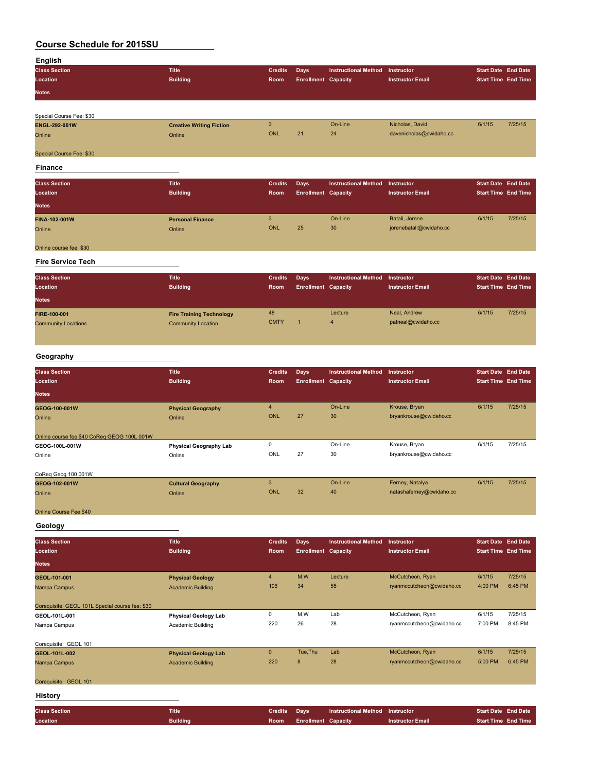| English              |                 |                     |                            |                                 |                         |                            |  |
|----------------------|-----------------|---------------------|----------------------------|---------------------------------|-------------------------|----------------------------|--|
| <b>Class Section</b> | <b>Title</b>    | <b>Credits</b> Days |                            | Instructional Method Instructor |                         | <b>Start Date End Date</b> |  |
| Location             | <b>Building</b> | Room                | <b>Enrollment Capacity</b> |                                 | <b>Instructor Email</b> | <b>Start Time End Time</b> |  |
| <b>Notes</b>         |                 |                     |                            |                                 |                         |                            |  |
|                      |                 |                     |                            |                                 |                         |                            |  |

| Special Course Fee: \$30 |                                 |     |    |         |                         |        |         |
|--------------------------|---------------------------------|-----|----|---------|-------------------------|--------|---------|
| <b>ENGL-292-001W</b>     | <b>Creative Writing Fiction</b> |     |    | On-Line | Nicholas, David         | 6/1/15 | 7/25/15 |
| Online                   | Online                          | ONL | 21 | 24      | davenicholas@cwidaho.cc |        |         |
| Special Course Fee: \$30 |                                 |     |    |         |                         |        |         |

**Finance**

| <b>Class Section</b><br>Location<br><b>Notes</b> | <b>Title</b><br><b>Building</b>   | <b>Credits</b><br>Room | Days<br><b>Enrollment Capacity</b> | <b>Instructional Method</b> | Instructor<br><b>Instructor Email</b>     | <b>Start Date End Date</b><br><b>Start Time End Time</b> |         |
|--------------------------------------------------|-----------------------------------|------------------------|------------------------------------|-----------------------------|-------------------------------------------|----------------------------------------------------------|---------|
| <b>FINA-102-001W</b><br>Online                   | <b>Personal Finance</b><br>Online | 3<br><b>ONL</b>        | 25                                 | On-Line<br>30               | Batali, Jorene<br>jorenebatali@cwidaho.cc | 6/1/15                                                   | 7/25/15 |
| Online course fee: \$30                          |                                   |                        |                                    |                             |                                           |                                                          |         |

#### **Fire Service Tech**

| <b>Class Section</b><br>Location<br><b>Notes</b> | <b>Title</b><br><b>Building</b>                              | <b>Credits</b><br>Room | Days<br><b>Enrollment Capacity</b> | Instructional Method | Instructor<br><b>Instructor Email</b> | <b>Start Date End Date</b><br><b>Start Time End Time</b> |         |
|--------------------------------------------------|--------------------------------------------------------------|------------------------|------------------------------------|----------------------|---------------------------------------|----------------------------------------------------------|---------|
| FIRE-100-001<br><b>Community Locations</b>       | <b>Fire Training Technology</b><br><b>Community Location</b> | 48<br><b>CMTY</b>      |                                    | Lecture<br>4         | Neal, Andrew<br>patneal@cwidaho.cc    | 6/1/15                                                   | 7/25/15 |

## **Geography**

| <b>Class Section</b><br>Location            | <b>Title</b><br><b>Building</b> | <b>Credits</b><br>Room | <b>Days</b><br><b>Enrollment Capacity</b> | <b>Instructional Method</b> | <b>Instructor</b><br><b>Instructor Email</b> | <b>Start Date End Date</b><br><b>Start Time End Time</b> |         |
|---------------------------------------------|---------------------------------|------------------------|-------------------------------------------|-----------------------------|----------------------------------------------|----------------------------------------------------------|---------|
| <b>Notes</b>                                |                                 |                        |                                           |                             |                                              |                                                          |         |
| GEOG-100-001W                               | <b>Physical Geography</b>       | 4                      |                                           | On-Line                     | Krouse, Bryan                                | 6/1/15                                                   | 7/25/15 |
| Online                                      | Online                          | <b>ONL</b>             | 27                                        | 30                          | bryankrouse@cwidaho.cc                       |                                                          |         |
| Online course fee \$40 CoReg GEOG 100L 001W |                                 |                        |                                           |                             |                                              |                                                          |         |
| GEOG-100L-001W                              | <b>Physical Geography Lab</b>   | 0                      |                                           | On-Line                     | Krouse, Bryan                                | 6/1/15                                                   | 7/25/15 |
| Online                                      | Online                          | ONL                    | 27                                        | 30                          | bryankrouse@cwidaho.cc                       |                                                          |         |
| CoReg Geog 100 001W                         |                                 |                        |                                           |                             |                                              |                                                          |         |
| GEOG-102-001W                               | <b>Cultural Geography</b>       | 3                      |                                           | On-Line                     | Ferney, Natalya                              | 6/1/15                                                   | 7/25/15 |
| Online                                      | Online                          | ONL                    | 32                                        | 40                          | natashaferney@cwidaho.cc                     |                                                          |         |

## Online Course Fee \$40

**Geology**

| <b>Class Section</b>                            | <b>Title</b>                | <b>Credits</b> | Days                       | <b>Instructional Method</b> | Instructor                | <b>Start Date End Date</b> |                 |
|-------------------------------------------------|-----------------------------|----------------|----------------------------|-----------------------------|---------------------------|----------------------------|-----------------|
| Location                                        | <b>Building</b>             | Room           | <b>Enrollment Capacity</b> |                             | <b>Instructor Email</b>   | <b>Start Time End Time</b> |                 |
| <b>Notes</b>                                    |                             |                |                            |                             |                           |                            |                 |
| GEOL-101-001                                    | <b>Physical Geology</b>     | $\overline{4}$ | M,W                        | Lecture                     | McCutcheon, Ryan          | 6/1/15                     | 7/25/15         |
| Nampa Campus                                    | <b>Academic Building</b>    | 106            | 34                         | 55                          | ryanmccutcheon@cwidaho.cc | 4:00 PM                    | 6:45 PM         |
| Corequisite: GEOL 101L Special course fee: \$30 |                             |                |                            |                             |                           |                            |                 |
| GEOL-101L-001                                   | <b>Physical Geology Lab</b> | 0              | M,W                        | Lab                         | McCutcheon, Ryan          | 6/1/15                     | 7/25/15         |
| Nampa Campus                                    | Academic Building           | 220            | 26                         | 28                          | ryanmccutcheon@cwidaho.cc | 7:00 PM                    | 8:45 PM         |
| Corequisite: GEOL 101                           |                             |                |                            |                             |                           |                            |                 |
| GEOL-101L-002                                   | <b>Physical Geology Lab</b> | $\mathbf{0}$   | Tue, Thu                   | Lab                         | McCutcheon, Ryan          | 6/1/15                     | 7/25/15         |
| Nampa Campus                                    | <b>Academic Building</b>    | 220            | 8                          | 28                          | ryanmccutcheon@cwidaho.cc | 5:00 PM                    | 6:45 PM         |
| Corequisite: GEOL 101                           |                             |                |                            |                             |                           |                            |                 |
| <b>History</b>                                  |                             |                |                            |                             |                           |                            |                 |
| <b>Class Section</b>                            | <b>Title</b>                | <b>Credits</b> | <b>Days</b>                | <b>Instructional Method</b> | Instructor                | <b>Start Date</b>          | <b>End Date</b> |
| Location                                        | <b>Building</b>             | Room           | <b>Enrollment Capacity</b> |                             | <b>Instructor Email</b>   | <b>Start Time End Time</b> |                 |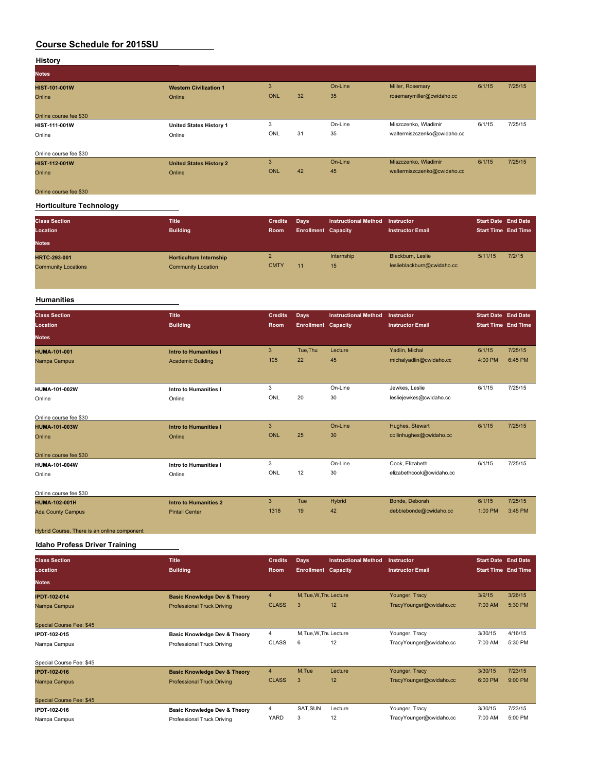| <b>History</b>         |                                |            |    |         |                             |        |         |
|------------------------|--------------------------------|------------|----|---------|-----------------------------|--------|---------|
| <b>Notes</b>           |                                |            |    |         |                             |        |         |
| <b>HIST-101-001W</b>   | <b>Western Civilization 1</b>  | 3          |    | On-Line | Miller, Rosemary            | 6/1/15 | 7/25/15 |
| Online                 | Online                         | <b>ONL</b> | 32 | 35      | rosemarymiller@cwidaho.cc   |        |         |
|                        |                                |            |    |         |                             |        |         |
| Online course fee \$30 |                                |            |    |         |                             |        |         |
| HIST-111-001W          | <b>United States History 1</b> | 3          |    | On-Line | Miszczenko, Wladimir        | 6/1/15 | 7/25/15 |
| Online                 | Online                         | ONL        | 31 | 35      | waltermiszczenko@cwidaho.cc |        |         |
| Online course fee \$30 |                                |            |    |         |                             |        |         |
| <b>HIST-112-001W</b>   | <b>United States History 2</b> | 3          |    | On-Line | Miszczenko, Wladimir        | 6/1/15 | 7/25/15 |
| Online                 | Online                         | <b>ONL</b> | 42 | 45      | waltermiszczenko@cwidaho.cc |        |         |
|                        |                                |            |    |         |                             |        |         |
| Online course fee \$30 |                                |            |    |         |                             |        |         |

#### **Horticulture Technology**

| <b>Class Section</b><br>Location<br><b>Notes</b>  | <b>Title</b><br><b>Building</b>                             | <b>Credits</b><br>Room | Days<br><b>Enrollment Capacity</b> | Instructional Method | Instructor<br><b>Instructor Email</b>           | <b>Start Date End Date</b><br><b>Start Time End Time</b> |        |
|---------------------------------------------------|-------------------------------------------------------------|------------------------|------------------------------------|----------------------|-------------------------------------------------|----------------------------------------------------------|--------|
| <b>HRTC-293-001</b><br><b>Community Locations</b> | <b>Horticulture Internship</b><br><b>Community Location</b> | <b>CMTY</b>            | 11                                 | Internship<br>15     | Blackburn, Leslie<br>leslieblackburn@cwidaho.cc | 5/11/15                                                  | 7/2/15 |

## **Humanities**

| <b>Class Section</b><br>Location            | Title<br><b>Building</b>     | <b>Credits</b><br><b>Room</b> | <b>Days</b><br><b>Enrollment Capacity</b> | <b>Instructional Method</b> | Instructor<br><b>Instructor Email</b> | <b>Start Date</b> End Date<br><b>Start Time End Time</b> |         |
|---------------------------------------------|------------------------------|-------------------------------|-------------------------------------------|-----------------------------|---------------------------------------|----------------------------------------------------------|---------|
| <b>Notes</b>                                |                              |                               |                                           |                             |                                       |                                                          |         |
| <b>HUMA-101-001</b>                         | <b>Intro to Humanities I</b> | 3                             | Tue, Thu                                  | Lecture                     | Yadlin, Michal                        | 6/1/15                                                   | 7/25/15 |
| Nampa Campus                                | <b>Academic Building</b>     | 105                           | 22                                        | 45                          | michalyadlin@cwidaho.cc               | 4:00 PM                                                  | 6:45 PM |
|                                             |                              |                               |                                           |                             |                                       |                                                          |         |
| HUMA-101-002W                               | Intro to Humanities I        | 3                             |                                           | On-Line                     | Jewkes, Leslie                        | 6/1/15                                                   | 7/25/15 |
| Online                                      | Online                       | ONL                           | 20                                        | 30                          | lesliejewkes@cwidaho.cc               |                                                          |         |
| Online course fee \$30                      |                              |                               |                                           |                             |                                       |                                                          |         |
| <b>HUMA-101-003W</b>                        | <b>Intro to Humanities I</b> | 3                             |                                           | On-Line                     | Hughes, Stewart                       | 6/1/15                                                   | 7/25/15 |
| Online                                      | Online                       | <b>ONL</b>                    | 25                                        | 30                          | collinhughes@cwidaho.cc               |                                                          |         |
| Online course fee \$30                      |                              |                               |                                           |                             |                                       |                                                          |         |
| HUMA-101-004W                               | Intro to Humanities I        | 3                             |                                           | On-Line                     | Cook, Elizabeth                       | 6/1/15                                                   | 7/25/15 |
| Online                                      | Online                       | ONL                           | 12                                        | 30                          | elizabethcook@cwidaho.cc              |                                                          |         |
| Online course fee \$30                      |                              |                               |                                           |                             |                                       |                                                          |         |
| <b>HUMA-102-001H</b>                        | <b>Intro to Humanities 2</b> | 3                             | Tue                                       | Hybrid                      | Bonde, Deborah                        | 6/1/15                                                   | 7/25/15 |
| <b>Ada County Campus</b>                    | <b>Pintail Center</b>        | 1318                          | 19                                        | 42                          | debbiebonde@cwidaho.cc                | 1:00 PM                                                  | 3:45 PM |
| Hybrid Course. There is an online component |                              |                               |                                           |                             |                                       |                                                          |         |

**Idaho Profess Driver Training**

| <b>Class Section</b>     | <b>Title</b>                            | <b>Credits</b> | Days                       | <b>Instructional Method</b> | Instructor              | <b>Start Date End Date</b> |         |
|--------------------------|-----------------------------------------|----------------|----------------------------|-----------------------------|-------------------------|----------------------------|---------|
| Location                 | <b>Building</b>                         | <b>Room</b>    | <b>Enrollment Capacity</b> |                             | <b>Instructor Email</b> | <b>Start Time End Time</b> |         |
| <b>Notes</b>             |                                         |                |                            |                             |                         |                            |         |
| <b>IPDT-102-014</b>      | <b>Basic Knowledge Dev &amp; Theory</b> | $\overline{4}$ | M.Tue.W.Tht Lecture        |                             | Younger, Tracy          | 3/9/15                     | 3/26/15 |
| Nampa Campus             | <b>Professional Truck Driving</b>       | <b>CLASS</b>   | 3                          | 12                          | TracyYounger@cwidaho.cc | 7:00 AM                    | 5:30 PM |
|                          |                                         |                |                            |                             |                         |                            |         |
| Special Course Fee: \$45 |                                         |                |                            |                             |                         |                            |         |
| IPDT-102-015             | <b>Basic Knowledge Dev &amp; Theory</b> | 4              | M.Tue, W.Thu Lecture       |                             | Younger, Tracy          | 3/30/15                    | 4/16/15 |
| Nampa Campus             | Professional Truck Driving              | <b>CLASS</b>   | 6                          | 12                          | TracyYounger@cwidaho.cc | 7:00 AM                    | 5:30 PM |
|                          |                                         |                |                            |                             |                         |                            |         |
| Special Course Fee: \$45 |                                         |                |                            |                             |                         |                            |         |
| <b>IPDT-102-016</b>      | <b>Basic Knowledge Dev &amp; Theory</b> | $\overline{4}$ | M,Tue                      | Lecture                     | Younger, Tracy          | 3/30/15                    | 7/23/15 |
| Nampa Campus             | <b>Professional Truck Driving</b>       | <b>CLASS</b>   | 3                          | 12                          | TracyYounger@cwidaho.cc | 6:00 PM                    | 9:00 PM |
|                          |                                         |                |                            |                             |                         |                            |         |
| Special Course Fee: \$45 |                                         |                |                            |                             |                         |                            |         |
| IPDT-102-016             | Basic Knowledge Dev & Theory            | 4              | SAT, SUN                   | Lecture                     | Younger, Tracy          | 3/30/15                    | 7/23/15 |
| Nampa Campus             | Professional Truck Driving              | YARD           | 3                          | 12                          | TracyYounger@cwidaho.cc | 7:00 AM                    | 5:00 PM |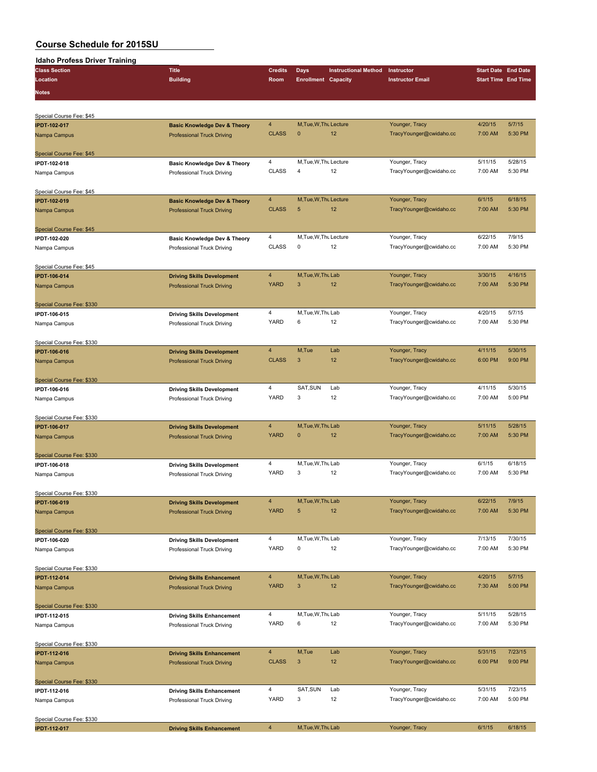| <b>Idaho Profess Driver Training</b> |                                         |                |                            |                             |                         |         |                            |
|--------------------------------------|-----------------------------------------|----------------|----------------------------|-----------------------------|-------------------------|---------|----------------------------|
| <b>Class Section</b>                 | <b>Title</b>                            | <b>Credits</b> | <b>Days</b>                | <b>Instructional Method</b> | Instructor              |         | <b>Start Date End Date</b> |
| Location                             | <b>Building</b>                         | Room           | <b>Enrollment Capacity</b> |                             | <b>Instructor Email</b> |         | <b>Start Time End Time</b> |
| <b>Notes</b>                         |                                         |                |                            |                             |                         |         |                            |
|                                      |                                         |                |                            |                             |                         |         |                            |
|                                      |                                         |                |                            |                             |                         |         |                            |
| Special Course Fee: \$45             |                                         |                |                            |                             |                         |         |                            |
| <b>IPDT-102-017</b>                  | <b>Basic Knowledge Dev &amp; Theory</b> | $\overline{4}$ | M, Tue, W, Thu Lecture     |                             | Younger, Tracy          | 4/20/15 | 5/7/15                     |
| Nampa Campus                         | <b>Professional Truck Driving</b>       | <b>CLASS</b>   | $\mathbf{0}$               | 12                          | TracyYounger@cwidaho.cc | 7:00 AM | 5:30 PM                    |
|                                      |                                         |                |                            |                             |                         |         |                            |
| Special Course Fee: \$45             |                                         |                |                            |                             |                         |         |                            |
| IPDT-102-018                         | <b>Basic Knowledge Dev &amp; Theory</b> | 4              | M, Tue, W, Thu Lecture     |                             | Younger, Tracy          | 5/11/15 | 5/28/15                    |
| Nampa Campus                         | Professional Truck Driving              | <b>CLASS</b>   | $\overline{4}$             | 12                          | TracyYounger@cwidaho.cc | 7:00 AM | 5:30 PM                    |
|                                      |                                         |                |                            |                             |                         |         |                            |
| Special Course Fee: \$45             |                                         |                |                            |                             |                         |         |                            |
| <b>IPDT-102-019</b>                  | <b>Basic Knowledge Dev &amp; Theory</b> | $\overline{4}$ | M, Tue, W, Thu Lecture     |                             | Younger, Tracy          | 6/1/15  | 6/18/15                    |
| Nampa Campus                         | <b>Professional Truck Driving</b>       | <b>CLASS</b>   | 5                          | 12                          | TracyYounger@cwidaho.cc | 7:00 AM | 5:30 PM                    |
|                                      |                                         |                |                            |                             |                         |         |                            |
| Special Course Fee: \$45             |                                         |                |                            |                             |                         |         |                            |
| IPDT-102-020                         | Basic Knowledge Dev & Theory            | $\overline{4}$ | M, Tue, W, Thu Lecture     |                             | Younger, Tracy          | 6/22/15 | 7/9/15                     |
| Nampa Campus                         | Professional Truck Driving              | <b>CLASS</b>   | 0                          | 12                          | TracyYounger@cwidaho.cc | 7:00 AM | 5:30 PM                    |
|                                      |                                         |                |                            |                             |                         |         |                            |
| Special Course Fee: \$45             |                                         |                |                            |                             |                         |         |                            |
| <b>IPDT-106-014</b>                  | <b>Driving Skills Development</b>       | $\overline{4}$ | M, Tue, W, Thu Lab         |                             | Younger, Tracy          | 3/30/15 | 4/16/15                    |
| Nampa Campus                         | <b>Professional Truck Driving</b>       | <b>YARD</b>    | 3                          | 12                          | TracyYounger@cwidaho.cc | 7:00 AM | 5:30 PM                    |
|                                      |                                         |                |                            |                             |                         |         |                            |
| Special Course Fee: \$330            |                                         |                |                            |                             |                         |         |                            |
| IPDT-106-015                         | <b>Driving Skills Development</b>       | $\overline{4}$ | M, Tue, W, Thu Lab         |                             | Younger, Tracy          | 4/20/15 | 5/7/15                     |
| Nampa Campus                         | Professional Truck Driving              | YARD           | 6                          | 12                          | TracyYounger@cwidaho.cc | 7:00 AM | 5:30 PM                    |
|                                      |                                         |                |                            |                             |                         |         |                            |
| Special Course Fee: \$330            |                                         |                |                            |                             |                         |         |                            |
| <b>IPDT-106-016</b>                  | <b>Driving Skills Development</b>       | $\overline{4}$ | M,Tue                      | Lab                         | Younger, Tracy          | 4/11/15 | 5/30/15                    |
| Nampa Campus                         | <b>Professional Truck Driving</b>       | <b>CLASS</b>   | 3                          | 12                          | TracyYounger@cwidaho.cc | 6:00 PM | 9:00 PM                    |
|                                      |                                         |                |                            |                             |                         |         |                            |
| Special Course Fee: \$330            |                                         |                |                            |                             |                         |         |                            |
| IPDT-106-016                         | <b>Driving Skills Development</b>       | $\overline{4}$ | SAT, SUN                   | Lab                         | Younger, Tracy          | 4/11/15 | 5/30/15                    |
| Nampa Campus                         | Professional Truck Driving              | <b>YARD</b>    | 3                          | 12                          | TracyYounger@cwidaho.cc | 7:00 AM | 5:00 PM                    |
|                                      |                                         |                |                            |                             |                         |         |                            |
| Special Course Fee: \$330            |                                         |                |                            |                             |                         |         |                            |
| <b>IPDT-106-017</b>                  | <b>Driving Skills Development</b>       | $\overline{4}$ | M, Tue, W, Thu Lab         |                             | Younger, Tracy          | 5/11/15 | 5/28/15                    |
| Nampa Campus                         | <b>Professional Truck Driving</b>       | <b>YARD</b>    | $\mathbf 0$                | 12                          | TracyYounger@cwidaho.cc | 7:00 AM | 5:30 PM                    |
|                                      |                                         |                |                            |                             |                         |         |                            |
| Special Course Fee: \$330            |                                         |                |                            |                             |                         |         |                            |
| IPDT-106-018                         | <b>Driving Skills Development</b>       | $\overline{4}$ | M, Tue, W, Thu Lab         |                             | Younger, Tracy          | 6/1/15  | 6/18/15                    |
| Nampa Campus                         | Professional Truck Driving              | <b>YARD</b>    | 3                          | 12                          | TracyYounger@cwidaho.cc | 7:00 AM | 5:30 PM                    |
|                                      |                                         |                |                            |                             |                         |         |                            |
| Special Course Fee: \$330            |                                         |                |                            |                             |                         |         |                            |
| <b>IPDT-106-019</b>                  | <b>Driving Skills Development</b>       | $\overline{4}$ | M, Tue, W, Thu Lab         |                             | Younger, Tracy          | 6/22/15 | 7/9/15                     |
| Nampa Campus                         | <b>Professional Truck Driving</b>       | <b>YARD</b>    | 5                          | 12                          | TracyYounger@cwidaho.cc | 7:00 AM | 5:30 PM                    |
|                                      |                                         |                |                            |                             |                         |         |                            |
| Special Course Fee: \$330            |                                         |                |                            |                             |                         |         |                            |
| IPDT-106-020                         | <b>Driving Skills Development</b>       | 4              | M, Tue, W, Thu Lab         |                             | Younger, Tracy          | 7/13/15 | 7/30/15                    |
| Nampa Campus                         | Professional Truck Driving              | <b>YARD</b>    | 0                          | 12                          | TracyYounger@cwidaho.cc | 7:00 AM | 5:30 PM                    |
|                                      |                                         |                |                            |                             |                         |         |                            |
| Special Course Fee: \$330            |                                         |                |                            |                             |                         |         |                            |
| <b>IPDT-112-014</b>                  | <b>Driving Skills Enhancement</b>       | $\overline{4}$ | M.Tue.W.Thu Lab            |                             | Younger, Tracy          | 4/20/15 | 5/7/15                     |
| Nampa Campus                         | <b>Professional Truck Driving</b>       | <b>YARD</b>    | 3                          | 12                          | TracyYounger@cwidaho.cc | 7:30 AM | 5:00 PM                    |
|                                      |                                         |                |                            |                             |                         |         |                            |
| Special Course Fee: \$330            |                                         |                |                            |                             |                         |         |                            |
| IPDT-112-015                         | <b>Driving Skills Enhancement</b>       | 4              | M, Tue, W, Thu Lab         |                             | Younger, Tracy          | 5/11/15 | 5/28/15                    |
| Nampa Campus                         | Professional Truck Driving              | YARD           | 6                          | 12                          | TracyYounger@cwidaho.cc | 7:00 AM | 5:30 PM                    |
|                                      |                                         |                |                            |                             |                         |         |                            |
| Special Course Fee: \$330            |                                         |                |                            |                             |                         |         |                            |
| <b>IPDT-112-016</b>                  | <b>Driving Skills Enhancement</b>       | $\overline{4}$ | M,Tue                      | Lab                         | Younger, Tracy          | 5/31/15 | 7/23/15                    |
| Nampa Campus                         | <b>Professional Truck Driving</b>       | <b>CLASS</b>   | 3                          | 12                          | TracyYounger@cwidaho.cc | 6:00 PM | 9:00 PM                    |
|                                      |                                         |                |                            |                             |                         |         |                            |
| Special Course Fee: \$330            |                                         |                |                            |                             |                         |         |                            |
| IPDT-112-016                         | <b>Driving Skills Enhancement</b>       | 4              | SAT, SUN                   | Lab                         | Younger, Tracy          | 5/31/15 | 7/23/15                    |
| Nampa Campus                         | Professional Truck Driving              | YARD           | 3                          | 12                          | TracyYounger@cwidaho.cc | 7:00 AM | 5:00 PM                    |
|                                      |                                         |                |                            |                             |                         |         |                            |
| Special Course Fee: \$330            |                                         |                |                            |                             |                         |         |                            |
| <b>IPDT-112-017</b>                  | <b>Driving Skills Enhancement</b>       | $\overline{4}$ | M, Tue, W, Thu Lab         |                             | Younger, Tracy          | 6/1/15  | 6/18/15                    |
|                                      |                                         |                |                            |                             |                         |         |                            |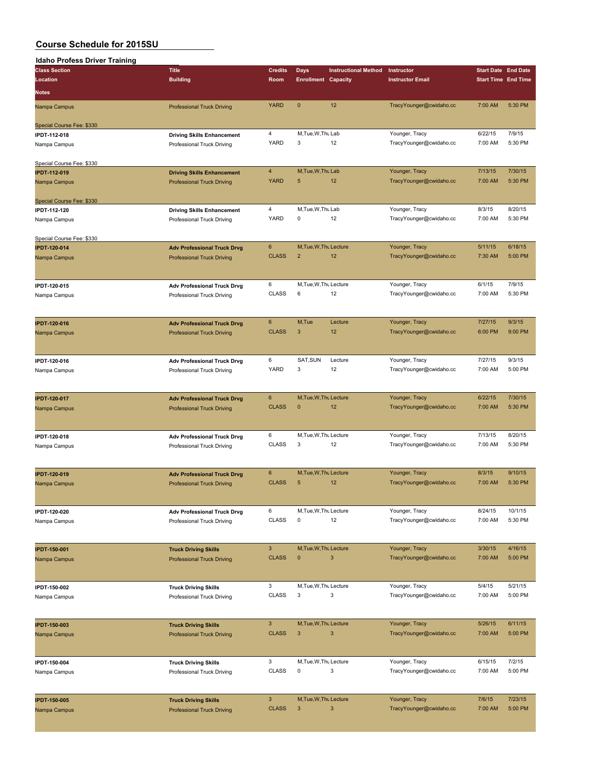| Idaho Profess Driver Training |                                    |                 |                            |                             |                         |         |                            |
|-------------------------------|------------------------------------|-----------------|----------------------------|-----------------------------|-------------------------|---------|----------------------------|
| <b>Class Section</b>          | <b>Title</b>                       | <b>Credits</b>  | Days                       | <b>Instructional Method</b> | Instructor              |         | <b>Start Date End Date</b> |
| Location                      | <b>Building</b>                    | Room            | <b>Enrollment Capacity</b> |                             | <b>Instructor Email</b> |         | <b>Start Time End Time</b> |
|                               |                                    |                 |                            |                             |                         |         |                            |
| <b>Notes</b>                  |                                    |                 |                            |                             |                         |         |                            |
| Nampa Campus                  | <b>Professional Truck Driving</b>  | <b>YARD</b>     | $\mathbf{0}$               | 12                          | TracyYounger@cwidaho.cc | 7:00 AM | 5:30 PM                    |
|                               |                                    |                 |                            |                             |                         |         |                            |
| Special Course Fee: \$330     |                                    |                 |                            |                             |                         |         |                            |
| <b>IPDT-112-018</b>           | <b>Driving Skills Enhancement</b>  | $\overline{4}$  | M, Tue, W, Thu Lab         |                             | Younger, Tracy          | 6/22/15 | 7/9/15                     |
| Nampa Campus                  | Professional Truck Driving         | YARD            | 3                          | 12                          | TracyYounger@cwidaho.cc | 7:00 AM | 5:30 PM                    |
|                               |                                    |                 |                            |                             |                         |         |                            |
|                               |                                    |                 |                            |                             |                         |         |                            |
| Special Course Fee: \$330     |                                    |                 |                            |                             |                         |         |                            |
| <b>IPDT-112-019</b>           | <b>Driving Skills Enhancement</b>  | $\overline{4}$  | M, Tue, W, Thu Lab         |                             | Younger, Tracy          | 7/13/15 | 7/30/15                    |
| Nampa Campus                  | <b>Professional Truck Driving</b>  | <b>YARD</b>     | 5                          | 12                          | TracyYounger@cwidaho.cc | 7:00 AM | 5:30 PM                    |
|                               |                                    |                 |                            |                             |                         |         |                            |
| Special Course Fee: \$330     |                                    |                 |                            |                             |                         |         |                            |
| IPDT-112-120                  | <b>Driving Skills Enhancement</b>  | $\overline{4}$  | M, Tue, W, Thu Lab         |                             | Younger, Tracy          | 8/3/15  | 8/20/15                    |
| Nampa Campus                  | Professional Truck Driving         | YARD            | 0                          | 12                          | TracyYounger@cwidaho.cc | 7:00 AM | 5:30 PM                    |
|                               |                                    |                 |                            |                             |                         |         |                            |
| Special Course Fee: \$330     |                                    |                 |                            |                             |                         |         |                            |
| <b>IPDT-120-014</b>           | <b>Adv Professional Truck Drvg</b> | $6\phantom{1}6$ | M, Tue, W, Thu Lecture     |                             | Younger, Tracy          | 5/11/15 | 6/18/15                    |
| Nampa Campus                  | <b>Professional Truck Driving</b>  | <b>CLASS</b>    | $\overline{2}$             | 12                          | TracyYounger@cwidaho.cc | 7:30 AM | 5:00 PM                    |
|                               |                                    |                 |                            |                             |                         |         |                            |
|                               |                                    |                 |                            |                             |                         |         |                            |
|                               |                                    |                 |                            |                             |                         |         |                            |
| IPDT-120-015                  | <b>Adv Professional Truck Drvg</b> | 6               | M, Tue, W, Thu Lecture     |                             | Younger, Tracy          | 6/1/15  | 7/9/15                     |
| Nampa Campus                  | Professional Truck Driving         | <b>CLASS</b>    | 6                          | 12                          | TracyYounger@cwidaho.cc | 7:00 AM | 5:30 PM                    |
|                               |                                    |                 |                            |                             |                         |         |                            |
|                               |                                    |                 |                            |                             |                         |         |                            |
| <b>IPDT-120-016</b>           | <b>Adv Professional Truck Drvg</b> | $6\phantom{1}$  | M,Tue                      | Lecture                     | Younger, Tracy          | 7/27/15 | 9/3/15                     |
| Nampa Campus                  | <b>Professional Truck Driving</b>  | <b>CLASS</b>    | 3                          | 12                          | TracyYounger@cwidaho.cc | 6:00 PM | 9:00 PM                    |
|                               |                                    |                 |                            |                             |                         |         |                            |
|                               |                                    |                 |                            |                             |                         |         |                            |
| IPDT-120-016                  |                                    | 6               | SAT, SUN                   | Lecture                     | Younger, Tracy          | 7/27/15 | 9/3/15                     |
|                               | <b>Adv Professional Truck Drvg</b> | <b>YARD</b>     | 3                          | 12                          | TracyYounger@cwidaho.cc | 7:00 AM | 5:00 PM                    |
| Nampa Campus                  | Professional Truck Driving         |                 |                            |                             |                         |         |                            |
|                               |                                    |                 |                            |                             |                         |         |                            |
|                               |                                    |                 |                            |                             |                         |         |                            |
| <b>IPDT-120-017</b>           | <b>Adv Professional Truck Drvg</b> | 6               | M, Tue, W, Thu Lecture     |                             | Younger, Tracy          | 6/22/15 | 7/30/15                    |
| Nampa Campus                  | <b>Professional Truck Driving</b>  | <b>CLASS</b>    | $\mathbf{0}$               | 12                          | TracyYounger@cwidaho.cc | 7:00 AM | 5:30 PM                    |
|                               |                                    |                 |                            |                             |                         |         |                            |
|                               |                                    |                 |                            |                             |                         |         |                            |
| IPDT-120-018                  | <b>Adv Professional Truck Drvg</b> | 6               | M, Tue, W, Thu Lecture     |                             | Younger, Tracy          | 7/13/15 | 8/20/15                    |
| Nampa Campus                  | Professional Truck Driving         | <b>CLASS</b>    | 3                          | 12                          | TracyYounger@cwidaho.cc | 7:00 AM | 5:30 PM                    |
|                               |                                    |                 |                            |                             |                         |         |                            |
|                               |                                    |                 |                            |                             |                         |         |                            |
| <b>IPDT-120-019</b>           |                                    | 6               | M.Tue.W.Thu Lecture        |                             | Younger, Tracy          | 8/3/15  | 9/10/15                    |
|                               | <b>Adv Professional Truck Drvg</b> | <b>CLASS</b>    | 5                          | 12                          | TracyYounger@cwidaho.cc | 7:00 AM | 5:30 PM                    |
| Nampa Campus                  | <b>Professional Truck Driving</b>  |                 |                            |                             |                         |         |                            |
|                               |                                    |                 |                            |                             |                         |         |                            |
|                               |                                    |                 |                            |                             |                         |         |                            |
| IPDT-120-020                  | <b>Adv Professional Truck Drvg</b> | 6               | M, Tue, W, Thu Lecture     |                             | Younger, Tracy          | 8/24/15 | 10/1/15                    |
| Nampa Campus                  | Professional Truck Driving         | <b>CLASS</b>    | 0                          | 12                          | TracyYounger@cwidaho.cc | 7:00 AM | 5:30 PM                    |
|                               |                                    |                 |                            |                             |                         |         |                            |
|                               |                                    |                 |                            |                             |                         |         |                            |
| <b>IPDT-150-001</b>           | <b>Truck Driving Skills</b>        | $\mathbf{3}$    | M, Tue, W, Thu Lecture     |                             | Younger, Tracy          | 3/30/15 | 4/16/15                    |
| Nampa Campus                  | <b>Professional Truck Driving</b>  | <b>CLASS</b>    | $\mathbf 0$                | 3                           | TracyYounger@cwidaho.cc | 7:00 AM | 5:00 PM                    |
|                               |                                    |                 |                            |                             |                         |         |                            |
|                               |                                    |                 |                            |                             |                         |         |                            |
|                               |                                    | 3               | M, Tue, W, Thu Lecture     |                             | Younger, Tracy          | 5/4/15  | 5/21/15                    |
| IPDT-150-002                  | <b>Truck Driving Skills</b>        |                 | 3                          | 3                           |                         |         | 5:00 PM                    |
| Nampa Campus                  | Professional Truck Driving         | <b>CLASS</b>    |                            |                             | TracyYounger@cwidaho.cc | 7:00 AM |                            |
|                               |                                    |                 |                            |                             |                         |         |                            |
|                               |                                    |                 |                            |                             |                         |         |                            |
| <b>IPDT-150-003</b>           | <b>Truck Driving Skills</b>        | $\mathbf{3}$    | M, Tue, W, Thu Lecture     |                             | Younger, Tracy          | 5/26/15 | 6/11/15                    |
| Nampa Campus                  | <b>Professional Truck Driving</b>  | <b>CLASS</b>    | $\mathbf{3}$               | 3                           | TracyYounger@cwidaho.cc | 7:00 AM | 5:00 PM                    |
|                               |                                    |                 |                            |                             |                         |         |                            |
|                               |                                    |                 |                            |                             |                         |         |                            |
| IPDT-150-004                  | <b>Truck Driving Skills</b>        | 3               | M, Tue, W, Thu Lecture     |                             | Younger, Tracy          | 6/15/15 | 7/2/15                     |
| Nampa Campus                  | Professional Truck Driving         | <b>CLASS</b>    | 0                          | 3                           | TracyYounger@cwidaho.cc | 7:00 AM | 5:00 PM                    |
|                               |                                    |                 |                            |                             |                         |         |                            |
|                               |                                    |                 |                            |                             |                         |         |                            |
|                               |                                    | $\mathbf{3}$    | M, Tue, W, Thu Lecture     |                             | Younger, Tracy          | 7/6/15  | 7/23/15                    |
| <b>IPDT-150-005</b>           | <b>Truck Driving Skills</b>        |                 |                            |                             |                         |         |                            |
| Nampa Campus                  | <b>Professional Truck Driving</b>  | <b>CLASS</b>    | 3                          | 3                           | TracyYounger@cwidaho.cc | 7:00 AM | 5:00 PM                    |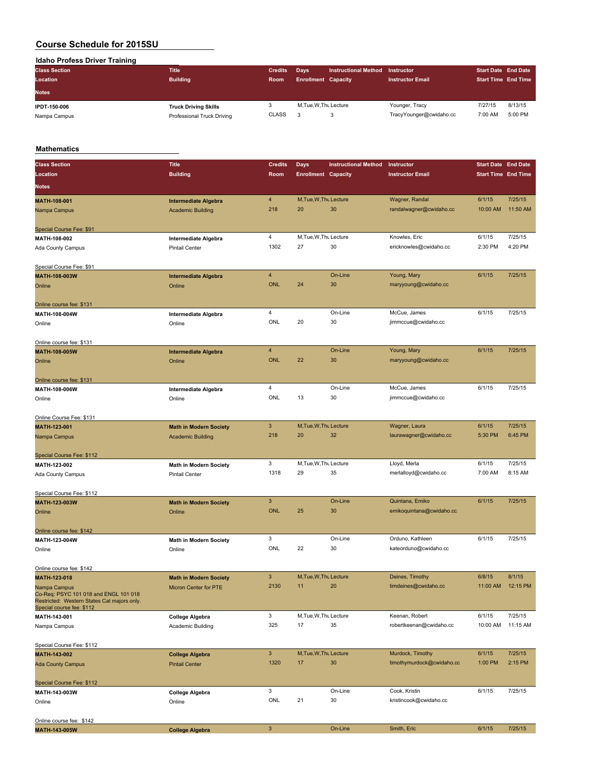**Idaho Profess Driver Training**

| <b>Class Section</b> | <b>Title</b>                | <b>Credits</b> | <b>Davs</b>                | <b>Instructional Method</b> | <b>Instructor</b>       | <b>Start Date End Date</b> |         |
|----------------------|-----------------------------|----------------|----------------------------|-----------------------------|-------------------------|----------------------------|---------|
| Location             | <b>Building</b>             | <b>Room</b>    | <b>Enrollment Capacity</b> |                             | <b>Instructor Email</b> | <b>Start Time End Time</b> |         |
| <b>Notes</b>         |                             |                |                            |                             |                         |                            |         |
| IPDT-150-006         | <b>Truck Driving Skills</b> | o.             | M.Tue.W.Thu Lecture        |                             | Younger, Tracy          | 7/27/15                    | 8/13/15 |
| Nampa Campus         | Professional Truck Driving  | <b>CLASS</b>   |                            | з                           | TracyYounger@cwidaho.cc | 7:00 AM                    | 5:00 PM |

#### **Mathematics**

| <b>Class Section</b><br><b>Title</b>                                                                                              |                                               | <b>Credits</b> | <b>Days</b>                | <b>Instructional Method</b> | Instructor                | <b>Start Date End Date</b> |          |
|-----------------------------------------------------------------------------------------------------------------------------------|-----------------------------------------------|----------------|----------------------------|-----------------------------|---------------------------|----------------------------|----------|
| <b>Building</b><br>Location                                                                                                       |                                               | Room           | <b>Enrollment Capacity</b> |                             | <b>Instructor Email</b>   | <b>Start Time End Time</b> |          |
| <b>Notes</b>                                                                                                                      |                                               |                |                            |                             |                           |                            |          |
| MATH-108-001                                                                                                                      | $\overline{4}$<br><b>Intermediate Algebra</b> |                | M, Tue, W, Thu Lecture     |                             | Wagner, Randal            | 6/1/15                     | 7/25/15  |
| Nampa Campus                                                                                                                      | <b>Academic Building</b>                      | 218            | 20                         | 30                          | randalwagner@cwidaho.cc   | 10:00 AM                   | 11:50 AM |
| Special Course Fee: \$91                                                                                                          |                                               |                |                            |                             |                           |                            |          |
| MATH-108-002                                                                                                                      | $\overline{4}$<br><b>Intermediate Algebra</b> |                | M, Tue, W, Thu Lecture     |                             | Knowles, Eric             | 6/1/15                     | 7/25/15  |
| Ada County Campus                                                                                                                 | Pintail Center                                | 1302           | 27                         | 30                          | ericknowles@cwidaho.cc    | 2:30 PM                    | 4:20 PM  |
| Special Course Fee: \$91                                                                                                          |                                               |                |                            |                             |                           |                            |          |
| MATH-108-003W                                                                                                                     | $\overline{4}$<br><b>Intermediate Algebra</b> |                |                            | On-Line                     | Young, Mary               | 6/1/15                     | 7/25/15  |
| Online<br>Online                                                                                                                  |                                               | <b>ONL</b>     | 24                         | 30                          | maryyoung@cwidaho.cc      |                            |          |
| Online course fee: \$131                                                                                                          |                                               |                |                            |                             |                           |                            |          |
| MATH-108-004W                                                                                                                     | $\overline{4}$<br><b>Intermediate Algebra</b> |                |                            | On-Line                     | McCue, James              | 6/1/15                     | 7/25/15  |
| Online<br>Online                                                                                                                  |                                               | ONL            | 20                         | 30                          | jimmccue@cwidaho.cc       |                            |          |
| Online course fee: \$131                                                                                                          |                                               |                |                            |                             |                           |                            |          |
| MATH-108-005W                                                                                                                     | $\overline{4}$<br><b>Intermediate Algebra</b> |                |                            | On-Line                     | Young, Mary               | 6/1/15                     | 7/25/15  |
| Online<br>Online                                                                                                                  |                                               | <b>ONL</b>     | 22                         | 30                          | maryyoung@cwidaho.cc      |                            |          |
| Online course fee: \$131                                                                                                          |                                               |                |                            |                             |                           |                            |          |
| MATH-108-006W                                                                                                                     | $\overline{4}$<br>Intermediate Algebra        |                |                            | On-Line                     | McCue, James              | 6/1/15                     | 7/25/15  |
| Online<br>Online                                                                                                                  |                                               | ONL            | 13                         | 30                          | jimmccue@cwidaho.cc       |                            |          |
| Online Course Fee: \$131                                                                                                          |                                               |                |                            |                             |                           |                            |          |
| MATH-123-001                                                                                                                      | $\mathbf{3}$<br><b>Math in Modern Society</b> |                | M, Tue, W, Thu Lecture     |                             | Wagner, Laura             | 6/1/15                     | 7/25/15  |
| Nampa Campus                                                                                                                      | <b>Academic Building</b>                      | 218            | 20                         | 32                          | laurawagner@cwidaho.cc    | 5:30 PM                    | 6:45 PM  |
| Special Course Fee: \$112                                                                                                         |                                               |                |                            |                             |                           |                            |          |
| MATH-123-002                                                                                                                      | 3<br><b>Math in Modern Society</b>            |                | M, Tue, W, Thu Lecture     |                             | Lloyd, Merla              | 6/1/15                     | 7/25/15  |
| Ada County Campus                                                                                                                 | <b>Pintail Center</b>                         | 1318           | 29                         | 35                          | merlalloyd@cwidaho.cc     | 7:00 AM                    | 8:15 AM  |
| Special Course Fee: \$112                                                                                                         |                                               |                |                            |                             |                           |                            |          |
| MATH-123-003W                                                                                                                     | $\mathbf{3}$<br><b>Math in Modern Society</b> |                |                            | On-Line                     | Quintana, Emiko           | 6/1/15                     | 7/25/15  |
| Online<br>Online                                                                                                                  |                                               | <b>ONL</b>     | 25                         | 30                          | emikoquintana@cwidaho.cc  |                            |          |
| Online course fee: \$142                                                                                                          |                                               |                |                            |                             |                           |                            |          |
| MATH-123-004W                                                                                                                     | 3<br>Math in Modern Society                   |                |                            | On-Line                     | Orduno, Kathleen          | 6/1/15                     | 7/25/15  |
| Online<br>Online                                                                                                                  |                                               | ONL            | 22                         | 30                          | kateorduno@cwidaho.cc     |                            |          |
| Online course fee: \$142                                                                                                          |                                               |                |                            |                             |                           |                            |          |
| MATH-123-018                                                                                                                      | $\mathbf{3}$<br><b>Math in Modern Society</b> | 2130           | M, Tue, W, Thu Lecture     |                             | Deines, Timothy           | 6/8/15                     | 8/1/15   |
| Nampa Campus<br>Co-Req: PSYC 101 018 and ENGL 101 018<br>Restricted: Western States Cat majors only.<br>Special course fee: \$112 | Micron Center for PTE                         |                | 11                         | 20                          | timdeines@cwidaho.cc      | 11:00 AM  12:15 PM         |          |
| MATH-143-001                                                                                                                      | 3<br><b>College Algebra</b>                   |                | M, Tue, W, Thu Lecture     |                             | Keenan, Robert            | 6/1/15                     | 7/25/15  |
| Nampa Campus                                                                                                                      | Academic Building                             | 325            | 17                         | 35                          | robertkeenan@cwidaho.cc   | 10:00 AM                   | 11:15 AM |
| Special Course Fee: \$112                                                                                                         |                                               |                |                            |                             |                           |                            |          |
| MATH-143-002                                                                                                                      | 3 <sup>5</sup><br><b>College Algebra</b>      |                | M, Tue, W, Thu Lecture     |                             | Murdock, Timothy          | 6/1/15                     | 7/25/15  |
| <b>Ada County Campus</b>                                                                                                          | <b>Pintail Center</b>                         | 1320           | 17                         | 30                          | timothymurdock@cwidaho.cc | 1:00 PM                    | 2:15 PM  |
| Special Course Fee: \$112                                                                                                         |                                               |                |                            |                             |                           |                            |          |
| MATH-143-003W                                                                                                                     | 3<br><b>College Algebra</b>                   |                |                            | On-Line                     | Cook, Kristin             | 6/1/15                     | 7/25/15  |
| Online<br>Online                                                                                                                  |                                               | ONL            | 21                         | 30                          | kristincook@cwidaho.cc    |                            |          |
| Online course fee: \$142                                                                                                          |                                               |                |                            |                             |                           |                            |          |
| MATH-143-005W                                                                                                                     | $\mathsf 3$<br><b>College Algebra</b>         |                |                            | On-Line                     | Smith, Eric               | 6/1/15                     | 7/25/15  |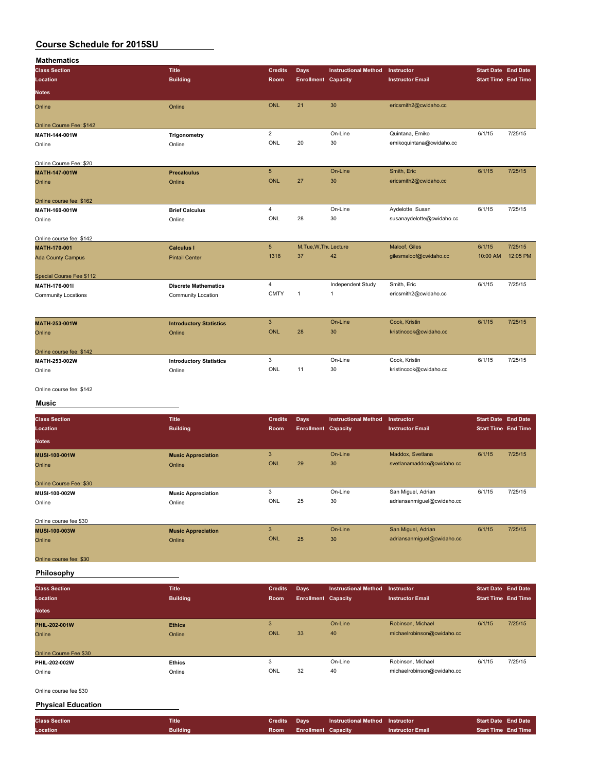| <b>Mathematics</b>         |                                |                 |                            |                             |                           |                            |          |
|----------------------------|--------------------------------|-----------------|----------------------------|-----------------------------|---------------------------|----------------------------|----------|
| <b>Class Section</b>       | <b>Title</b>                   | <b>Credits</b>  | Days                       | <b>Instructional Method</b> | Instructor                | <b>Start Date End Date</b> |          |
| Location                   | <b>Building</b>                | Room            | <b>Enrollment Capacity</b> |                             | <b>Instructor Email</b>   | <b>Start Time End Time</b> |          |
| <b>Notes</b>               |                                |                 |                            |                             |                           |                            |          |
| Online                     | Online                         | <b>ONL</b>      | 21                         | 30                          | ericsmith2@cwidaho.cc     |                            |          |
| Online Course Fee: \$142   |                                |                 |                            |                             |                           |                            |          |
| MATH-144-001W              | Trigonometry                   | $\overline{2}$  |                            | On-Line                     | Quintana, Emiko           | 6/1/15                     | 7/25/15  |
| Online                     | Online                         | ONL             | 20                         | 30                          | emikoquintana@cwidaho.cc  |                            |          |
| Online Course Fee: \$20    |                                |                 |                            |                             |                           |                            |          |
| MATH-147-001W              | <b>Precalculus</b>             | $5\phantom{.0}$ |                            | On-Line                     | Smith, Eric               | 6/1/15                     | 7/25/15  |
| Online                     | Online                         | <b>ONL</b>      | 27                         | 30                          | ericsmith2@cwidaho.cc     |                            |          |
| Online course fee: \$162   |                                |                 |                            |                             |                           |                            |          |
| MATH-160-001W              | <b>Brief Calculus</b>          | $\overline{4}$  |                            | On-Line                     | Aydelotte, Susan          | 6/1/15                     | 7/25/15  |
| Online                     | Online                         | ONL             | 28                         | 30                          | susanaydelotte@cwidaho.cc |                            |          |
| Online course fee: \$142   |                                |                 |                            |                             |                           |                            |          |
| MATH-170-001               | <b>Calculus I</b>              | 5 <sup>5</sup>  | M, Tue, W, Thu Lecture     |                             | Maloof, Giles             | 6/1/15                     | 7/25/15  |
| <b>Ada County Campus</b>   | <b>Pintail Center</b>          | 1318            | 37                         | 42                          | gilesmaloof@cwidaho.cc    | 10:00 AM                   | 12:05 PM |
| Special Course Fee \$112   |                                |                 |                            |                             |                           |                            |          |
| MATH-176-001I              | <b>Discrete Mathematics</b>    | $\overline{4}$  |                            | Independent Study           | Smith, Eric               | 6/1/15                     | 7/25/15  |
| <b>Community Locations</b> | <b>Community Location</b>      | <b>CMTY</b>     | $\mathbf{1}$               | 1                           | ericsmith2@cwidaho.cc     |                            |          |
| MATH-253-001W              | <b>Introductory Statistics</b> | $\overline{3}$  |                            | On-Line                     | Cook, Kristin             | 6/1/15                     | 7/25/15  |
| Online                     | Online                         | <b>ONL</b>      | 28                         | 30                          | kristincook@cwidaho.cc    |                            |          |
|                            |                                |                 |                            |                             |                           |                            |          |
| Online course fee: \$142   |                                |                 |                            |                             |                           |                            |          |
| MATH-253-002W              | <b>Introductory Statistics</b> | 3               |                            | On-Line                     | Cook, Kristin             | 6/1/15                     | 7/25/15  |
| Online                     | Online                         | ONL             | 11                         | 30                          | kristincook@cwidaho.cc    |                            |          |
| Online course fee: \$142   |                                |                 |                            |                             |                           |                            |          |
| Music                      |                                |                 |                            |                             |                           |                            |          |
| <b>Class Section</b>       | <b>Title</b>                   | <b>Credits</b>  | <b>Days</b>                | <b>Instructional Method</b> | Instructor                | <b>Start Date End Date</b> |          |
| Location                   | <b>Building</b>                | Room            | <b>Enrollment Capacity</b> |                             | <b>Instructor Email</b>   | <b>Start Time End Time</b> |          |
| <b>Notes</b>               |                                |                 |                            |                             |                           |                            |          |
| MUSI-100-001W              | <b>Music Appreciation</b>      | 3               |                            | On-Line                     | Maddox, Svetlana          | 6/1/15                     | 7/25/15  |
| Online                     | Online                         | <b>ONL</b>      | 29                         | 30                          | svetlanamaddox@cwidaho.cc |                            |          |

| Online                  | ____<br>Online | <b>ONL</b> | 29 | 30 | svetlanamaddox@cwidaho.cc |
|-------------------------|----------------|------------|----|----|---------------------------|
| Online Course Fee: \$30 |                |            |    |    |                           |

Online Course Fee: \$30 **MUSI-100-002W Music Appreciation** 3 On-Line San Miguel, Adrian 6/1/15 7/25/15<br>
25 Online 25 30 adriansanmiguel@cwidaho.cc Online Online ONL 25 30 adriansanmiguel@cwidaho.cc Online course fee \$30 **MUSI-100-003W Music Appreciation** 3 On-Line San Miguel, Adrian 6/1/15 7/25/15<br>Music Appreciation 3 Online San Miguel Adrian 6/1/15 7/25/15<br>Online Contine 25 30 adriansammiguel@cwidaho.cc Online Online ONL 25 30 adriansanmiguel@cwidaho.cc Online course fee: \$30

**Philosophy**

| <b>Class Section</b><br>Location | <b>Title</b><br><b>Building</b> | <b>Credits</b><br><b>Room</b> | Days<br><b>Enrollment Capacity</b> | <b>Instructional Method</b> | Instructor<br><b>Instructor Email</b> | <b>Start Date End Date</b><br>Start Time End Time |         |
|----------------------------------|---------------------------------|-------------------------------|------------------------------------|-----------------------------|---------------------------------------|---------------------------------------------------|---------|
| <b>Notes</b>                     |                                 |                               |                                    |                             |                                       |                                                   |         |
| PHIL-202-001W                    | <b>Ethics</b>                   | 3                             |                                    | On-Line                     | Robinson, Michael                     | 6/1/15                                            | 7/25/15 |
| Online                           | Online                          | ONL                           | 33                                 | 40                          | michaelrobinson@cwidaho.cc            |                                                   |         |
|                                  |                                 |                               |                                    |                             |                                       |                                                   |         |
| Online Course Fee \$30           |                                 |                               |                                    |                             |                                       |                                                   |         |
| PHIL-202-002W                    | <b>Ethics</b>                   |                               |                                    | On-Line                     | Robinson, Michael                     | 6/1/15                                            | 7/25/15 |
| Online                           | Online                          | ONL                           | 32                                 | 40                          | michaelrobinson@cwidaho.cc            |                                                   |         |

Online course fee \$30

#### **Physical Education**

| <b>Class Section</b> | Title           | <b>Credits</b> Davs |                          | <b>Instructional Method Instructor</b> |                         | <b>Start Date End Date</b> |                            |
|----------------------|-----------------|---------------------|--------------------------|----------------------------------------|-------------------------|----------------------------|----------------------------|
| Location             | <b>Building</b> |                     | Room Enrollment Capacity |                                        | <b>Instructor Email</b> |                            | <b>Start Time End Time</b> |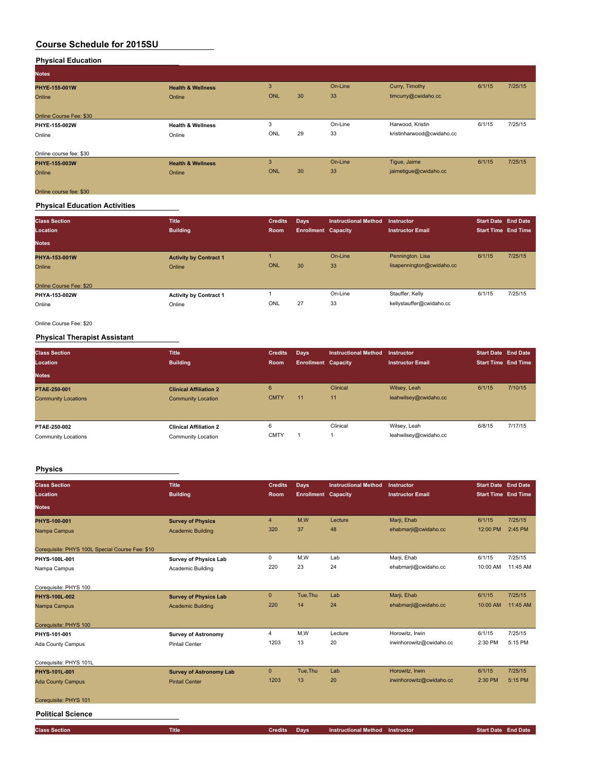| <b>Notes</b>            |                              |            |    |         |                           |        |         |
|-------------------------|------------------------------|------------|----|---------|---------------------------|--------|---------|
| PHYE-155-001W           | <b>Health &amp; Wellness</b> | 3          |    | On-Line | Curry, Timothy            | 6/1/15 | 7/25/15 |
| Online                  | Online                       | <b>ONL</b> | 30 | 33      | timcurry@cwidaho.cc       |        |         |
| Online Course Fee: \$30 |                              |            |    |         |                           |        |         |
| PHYE-155-002W           | <b>Health &amp; Wellness</b> | 3          |    | On-Line | Harwood, Kristin          | 6/1/15 | 7/25/15 |
| Online                  | Online                       | ONL        | 29 | 33      | kristinharwood@cwidaho.cc |        |         |
| Online course fee: \$30 |                              |            |    |         |                           |        |         |
| PHYE-155-003W           | <b>Health &amp; Wellness</b> | 3          |    | On-Line | Tigue, Jaime              | 6/1/15 | 7/25/15 |
| Online                  | Online                       | ONL        | 30 | 33      | jaimetigue@cwidaho.cc     |        |         |
| Online course fee: \$30 |                              |            |    |         |                           |        |         |

## **Physical Education Activities**

| <b>Class Section</b><br>Location<br><b>Notes</b>   | <b>Title</b><br><b>Building</b>         | <b>Credits</b><br>Room | Days<br><b>Enrollment Capacity</b> | <b>Instructional Method</b> | Instructor<br><b>Instructor Email</b>         | <b>Start Date End Date</b><br><b>Start Time End Time</b> |         |
|----------------------------------------------------|-----------------------------------------|------------------------|------------------------------------|-----------------------------|-----------------------------------------------|----------------------------------------------------------|---------|
| PHYA-153-001W<br>Online<br>Online Course Fee: \$20 | <b>Activity by Contract 1</b><br>Online | <b>ONL</b>             | 30                                 | On-Line<br>33               | Pennington, Lisa<br>lisapennington@cwidaho.cc | 6/1/15                                                   | 7/25/15 |
| PHYA-153-002W<br>Online                            | <b>Activity by Contract 1</b><br>Online | ONL                    | 27                                 | On-Line<br>33               | Stauffer, Kelly<br>kellystauffer@cwidaho.cc   | 6/1/15                                                   | 7/25/15 |

Online Course Fee: \$20

## **Physical Therapist Assistant**

| <b>Class Section</b><br>Location | <b>Title</b><br><b>Building</b> | <b>Credits</b><br>Room | Days<br><b>Enrollment Capacity</b> | <b>Instructional Method</b> | <b>Instructor</b><br><b>Instructor Email</b> | <b>Start Date End Date</b><br><b>Start Time End Time</b> |         |
|----------------------------------|---------------------------------|------------------------|------------------------------------|-----------------------------|----------------------------------------------|----------------------------------------------------------|---------|
| <b>Notes</b>                     |                                 |                        |                                    |                             |                                              |                                                          |         |
| PTAE-250-001                     | <b>Clinical Affiliation 2</b>   | 6<br><b>CMTY</b>       |                                    | Clinical                    | Wilsey, Leah                                 | 6/1/15                                                   | 7/10/15 |
| <b>Community Locations</b>       | <b>Community Location</b>       |                        | 11                                 | 11                          | leahwilsey@cwidaho.cc                        |                                                          |         |
|                                  |                                 |                        |                                    |                             |                                              |                                                          |         |
| PTAE-250-002                     | <b>Clinical Affiliation 2</b>   | 6                      |                                    | Clinical                    | Wilsey, Leah                                 | 6/8/15                                                   | 7/17/15 |
| Community Locations              | Community Location              | <b>CMTY</b>            |                                    |                             | leahwilsey@cwidaho.cc                        |                                                          |         |

## **Physics**

| <b>Class Section</b><br>Location                | <b>Title</b><br><b>Building</b> | <b>Credits</b><br>Room | Days<br><b>Enrollment Capacity</b> | <b>Instructional Method</b> | Instructor<br><b>Instructor Email</b> | <b>Start Date End Date</b><br><b>Start Time End Time</b> |          |
|-------------------------------------------------|---------------------------------|------------------------|------------------------------------|-----------------------------|---------------------------------------|----------------------------------------------------------|----------|
| <b>Notes</b>                                    |                                 |                        |                                    |                             |                                       |                                                          |          |
| PHYS-100-001                                    | <b>Survey of Physics</b>        | $\overline{4}$         | M,W                                | Lecture                     | Marji, Ehab                           | 6/1/15                                                   | 7/25/15  |
| Nampa Campus                                    | <b>Academic Building</b>        | 320                    | 37                                 | 48                          | ehabmarji@cwidaho.cc                  | 12:00 PM                                                 | 2:45 PM  |
| Corequisite: PHYS 100L Special Course Fee: \$10 |                                 |                        |                                    |                             |                                       |                                                          |          |
| PHYS-100L-001                                   | <b>Survey of Physics Lab</b>    | 0                      | M,W                                | Lab                         | Marji, Ehab                           | 6/1/15                                                   | 7/25/15  |
| Nampa Campus                                    | Academic Building               | 220                    | 23                                 | 24                          | ehabmarji@cwidaho.cc                  | 10:00 AM                                                 | 11:45 AM |
| Corequisite: PHYS 100                           |                                 |                        |                                    |                             |                                       |                                                          |          |
| <b>PHYS-100L-002</b>                            | <b>Survey of Physics Lab</b>    | $\mathbf{0}$           | Tue, Thu                           | Lab                         | Marji, Ehab                           | 6/1/15                                                   | 7/25/15  |
| Nampa Campus                                    | <b>Academic Building</b>        | 220                    | 14                                 | 24                          | ehabmarji@cwidaho.cc                  | 10:00 AM                                                 | 11:45 AM |
| Corequisite: PHYS 100                           |                                 |                        |                                    |                             |                                       |                                                          |          |
| PHYS-101-001                                    | <b>Survey of Astronomy</b>      | $\overline{4}$         | M,W                                | Lecture                     | Horowitz, Irwin                       | 6/1/15                                                   | 7/25/15  |
| Ada County Campus                               | <b>Pintail Center</b>           | 1203                   | 13                                 | 20                          | irwinhorowitz@cwidaho.cc              | 2:30 PM                                                  | 5:15 PM  |
| Corequisite: PHYS 101L                          |                                 |                        |                                    |                             |                                       |                                                          |          |
| PHYS-101L-001                                   | <b>Survey of Astronomy Lab</b>  | $\mathbf{0}$           | Tue, Thu                           | Lab                         | Horowitz, Irwin                       | 6/1/15                                                   | 7/25/15  |
| <b>Ada County Campus</b>                        | <b>Pintail Center</b>           | 1203                   | 13                                 | 20                          | irwinhorowitz@cwidaho.cc              | 2:30 PM                                                  | 5:15 PM  |
| Corequisite: PHYS 101                           |                                 |                        |                                    |                             |                                       |                                                          |          |
| <b>Political Science</b>                        |                                 |                        |                                    |                             |                                       |                                                          |          |
| <b>Class Section</b>                            | <b>Title</b>                    | <b>Credits</b>         | Days                               | <b>Instructional Method</b> | Instructor                            | <b>Start Date End Date</b>                               |          |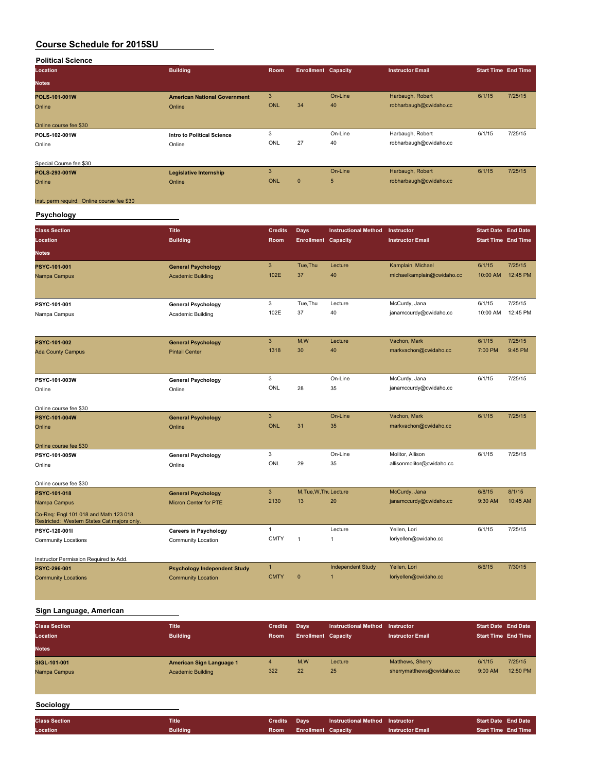| <b>Political Science</b> |                                     |      |                            |         |                         |                            |         |
|--------------------------|-------------------------------------|------|----------------------------|---------|-------------------------|----------------------------|---------|
| Location                 | <b>Building</b>                     | Room | <b>Enrollment Capacity</b> |         | <b>Instructor Email</b> | <b>Start Time End Time</b> |         |
| <b>Notes</b>             |                                     |      |                            |         |                         |                            |         |
| POLS-101-001W            | <b>American National Government</b> | 3    |                            | On-Line | Harbaugh, Robert        | 6/1/15                     | 7/25/15 |
| Online                   | Online                              | ONL  | 34                         | 40      | robharbaugh@cwidaho.cc  |                            |         |
| Online course fee \$30   |                                     |      |                            |         |                         |                            |         |
| POLS-102-001W            | <b>Intro to Political Science</b>   | 3    |                            | On-Line | Harbaugh, Robert        | 6/1/15                     | 7/25/15 |
| Online                   | Online                              | ONL  | 27                         | 40      | robharbaugh@cwidaho.cc  |                            |         |
| Special Course fee \$30  |                                     |      |                            |         |                         |                            |         |
| POLS-293-001W            | <b>Legislative Internship</b>       | 3    |                            | On-Line | Harbaugh, Robert        | 6/1/15                     | 7/25/15 |
| Online                   | Online                              | ONL  | $\mathbf{0}$               | 5       | robharbaugh@cwidaho.cc  |                            |         |

Inst. perm requird. Online course fee \$30

## **Psychology**

| <b>Class Section</b>                                                                 | <b>Title</b>                        | <b>Credits</b> | <b>Days</b>                | <b>Instructional Method</b> | Instructor                 | <b>Start Date End Date</b> |          |
|--------------------------------------------------------------------------------------|-------------------------------------|----------------|----------------------------|-----------------------------|----------------------------|----------------------------|----------|
| Location                                                                             | <b>Building</b>                     | <b>Room</b>    | <b>Enrollment Capacity</b> |                             | <b>Instructor Email</b>    | <b>Start Time End Time</b> |          |
| <b>Notes</b>                                                                         |                                     |                |                            |                             |                            |                            |          |
| PSYC-101-001                                                                         | <b>General Psychology</b>           | 3              | Tue.Thu                    | Lecture                     | Kamplain, Michael          | 6/1/15                     | 7/25/15  |
| Nampa Campus                                                                         | <b>Academic Building</b>            | 102E           | 37                         | 40                          | michaelkamplain@cwidaho.cc | 10:00 AM                   | 12:45 PM |
|                                                                                      |                                     |                |                            |                             |                            |                            |          |
| PSYC-101-001                                                                         | <b>General Psychology</b>           | 3              | Tue.Thu                    | Lecture                     | McCurdy, Jana              | 6/1/15                     | 7/25/15  |
| Nampa Campus                                                                         | Academic Building                   | 102E           | 37                         | 40                          | janamccurdy@cwidaho.cc     | 10:00 AM                   | 12:45 PM |
|                                                                                      |                                     |                |                            |                             |                            |                            |          |
| PSYC-101-002                                                                         | <b>General Psychology</b>           | 3              | M,W                        | Lecture                     | Vachon, Mark               | 6/1/15                     | 7/25/15  |
| <b>Ada County Campus</b>                                                             | <b>Pintail Center</b>               | 1318           | 30                         | 40                          | markvachon@cwidaho.cc      | 7:00 PM                    | 9:45 PM  |
|                                                                                      |                                     |                |                            |                             |                            |                            |          |
| PSYC-101-003W                                                                        | <b>General Psychology</b>           | 3              |                            | On-Line                     | McCurdy, Jana              | 6/1/15                     | 7/25/15  |
| Online                                                                               | Online                              | ONL            | 28                         | 35                          | janamccurdy@cwidaho.cc     |                            |          |
|                                                                                      |                                     |                |                            |                             |                            |                            |          |
| Online course fee \$30                                                               |                                     |                |                            |                             |                            |                            |          |
| PSYC-101-004W                                                                        | <b>General Psychology</b>           | 3              |                            | On-Line                     | Vachon, Mark               | 6/1/15                     | 7/25/15  |
| Online                                                                               | Online                              | <b>ONL</b>     | 31                         | 35                          | markvachon@cwidaho.cc      |                            |          |
| Online course fee \$30                                                               |                                     |                |                            |                             |                            |                            |          |
| PSYC-101-005W                                                                        | <b>General Psychology</b>           | 3              |                            | On-Line                     | Molitor, Allison           | 6/1/15                     | 7/25/15  |
| Online                                                                               | Online                              | ONL            | 29                         | 35                          | allisonmolitor@cwidaho.cc  |                            |          |
| Online course fee \$30                                                               |                                     |                |                            |                             |                            |                            |          |
| PSYC-101-018                                                                         | <b>General Psychology</b>           | 3              | M, Tue, W, Thu Lecture     |                             | McCurdy, Jana              | 6/8/15                     | 8/1/15   |
| Nampa Campus                                                                         | Micron Center for PTE               | 2130           | 13                         | 20                          | janamccurdy@cwidaho.cc     | 9:30 AM                    | 10:45 AM |
| Co-Req: Engl 101 018 and Math 123 018<br>Restricted: Western States Cat majors only. |                                     |                |                            |                             |                            |                            |          |
| PSYC-120-001I                                                                        | <b>Careers in Psychology</b>        | 1              |                            | Lecture                     | Yellen, Lori               | 6/1/15                     | 7/25/15  |
| <b>Community Locations</b>                                                           | Community Location                  | <b>CMTY</b>    | $\mathbf{1}$               | $\mathbf{1}$                | loriyellen@cwidaho.cc      |                            |          |
|                                                                                      |                                     |                |                            |                             |                            |                            |          |
| Instructor Permission Required to Add.<br>PSYC-296-001                               | <b>Psychology Independent Study</b> | $\mathbf{1}$   |                            | <b>Independent Study</b>    | Yellen, Lori               | 6/6/15                     | 7/30/15  |
| <b>Community Locations</b>                                                           | <b>Community Location</b>           | <b>CMTY</b>    | $\mathbf{0}$               | $\overline{1}$              | loriyellen@cwidaho.cc      |                            |          |
|                                                                                      |                                     |                |                            |                             |                            |                            |          |

## **Sign Language, American**

| <b>Class Section</b><br>Location<br><b>Notes</b> | <b>Title</b><br><b>Building</b> | <b>Credits</b><br>Room | Days<br><b>Enrollment Capacity</b> | <b>Instructional Method</b> | <b>Instructor</b><br><b>Instructor Email</b> | <b>Start Date End Date</b><br><b>Start Time End Time</b> |          |
|--------------------------------------------------|---------------------------------|------------------------|------------------------------------|-----------------------------|----------------------------------------------|----------------------------------------------------------|----------|
| SIGL-101-001                                     | American Sign Language 1        | 4                      | M,W                                | Lecture                     | Matthews, Sherry                             | 6/1/15                                                   | 7/25/15  |
| Nampa Campus                                     | <b>Academic Building</b>        | 322                    | 22                                 | 25                          | sherrymatthews@cwidaho.cc                    | $9:00$ AM                                                | 12:50 PM |

#### **Sociology**

| <b>Class Section</b> | <b>Title</b>    | Credits Days |                                 | <b>Instructional Method Instructor</b> |                         | <b>Start Date End Date</b> |                     |
|----------------------|-----------------|--------------|---------------------------------|----------------------------------------|-------------------------|----------------------------|---------------------|
| Location             | <b>Building</b> |              | <b>Room</b> Enrollment Capacity |                                        | <b>Instructor Email</b> |                            | Start Time End Time |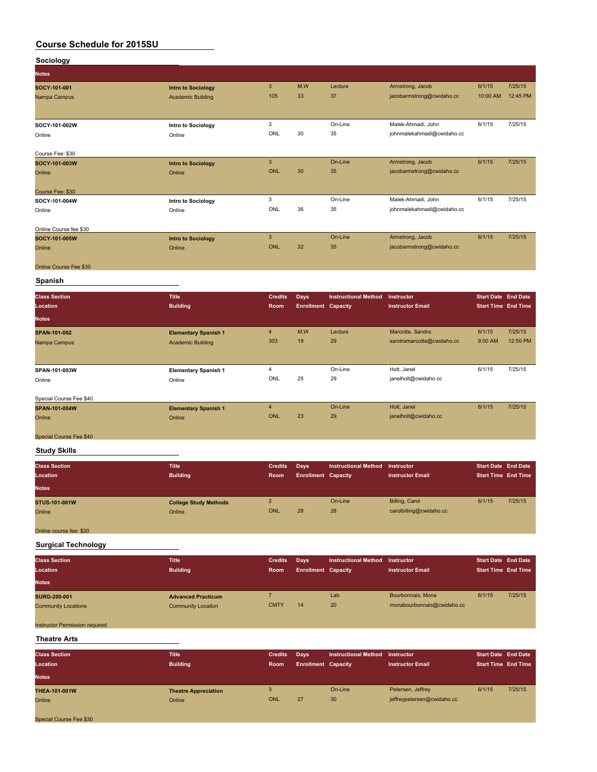| Sociology                                         |                                                        |                               |                                           |                             |                                                 |                                                          |          |
|---------------------------------------------------|--------------------------------------------------------|-------------------------------|-------------------------------------------|-----------------------------|-------------------------------------------------|----------------------------------------------------------|----------|
| <b>Notes</b>                                      |                                                        |                               |                                           |                             |                                                 |                                                          |          |
| SOCY-101-001                                      | <b>Intro to Sociology</b>                              | $\mathbf{3}$                  | M,W                                       | Lecture                     | Armstrong, Jacob                                | 6/1/15                                                   | 7/25/15  |
| Nampa Campus                                      | <b>Academic Building</b>                               | 105                           | 33                                        | 37                          | jacobarmstrong@cwidaho.cc                       | 10:00 AM                                                 | 12:45 PM |
|                                                   |                                                        |                               |                                           |                             |                                                 |                                                          |          |
| SOCY-101-002W                                     | Intro to Sociology                                     | 3                             |                                           | On-Line                     | Malek-Ahmadi, John                              | 6/1/15                                                   | 7/25/15  |
| Online                                            | Online                                                 | ONL                           | 30                                        | 35                          | johnmalekahmadi@cwidaho.cc                      |                                                          |          |
|                                                   |                                                        |                               |                                           |                             |                                                 |                                                          |          |
| Course Fee: \$30                                  |                                                        |                               |                                           |                             |                                                 |                                                          |          |
| SOCY-101-003W                                     | <b>Intro to Sociology</b>                              | $\mathbf{3}$<br><b>ONL</b>    | 30                                        | On-Line<br>35               | Armstrong, Jacob<br>jacobarmstrong@cwidaho.cc   | 6/1/15                                                   | 7/25/15  |
| Online                                            | Online                                                 |                               |                                           |                             |                                                 |                                                          |          |
| Course Fee: \$30                                  |                                                        |                               |                                           |                             |                                                 |                                                          |          |
| SOCY-101-004W                                     | Intro to Sociology                                     | 3                             |                                           | On-Line                     | Malek-Ahmadi, John                              | 6/1/15                                                   | 7/25/15  |
| Online                                            | Online                                                 | ONL                           | 36                                        | 35                          | johnmalekahmadi@cwidaho.cc                      |                                                          |          |
| Online Course fee \$30                            |                                                        |                               |                                           |                             |                                                 |                                                          |          |
| SOCY-101-005W                                     | <b>Intro to Sociology</b>                              | $\mathbf{3}$                  |                                           | On-Line                     | Armstrong, Jacob                                | 6/1/15                                                   | 7/25/15  |
| Online                                            | Online                                                 | <b>ONL</b>                    | 32                                        | 35                          | jacobarmstrong@cwidaho.cc                       |                                                          |          |
|                                                   |                                                        |                               |                                           |                             |                                                 |                                                          |          |
| Online Course Fee \$30                            |                                                        |                               |                                           |                             |                                                 |                                                          |          |
| Spanish                                           |                                                        |                               |                                           |                             |                                                 |                                                          |          |
| <b>Class Section</b>                              | <b>Title</b>                                           | <b>Credits</b>                | Days                                      | <b>Instructional Method</b> | Instructor                                      | <b>Start Date End Date</b>                               |          |
| Location                                          | <b>Building</b>                                        | Room                          | <b>Enrollment Capacity</b>                |                             | <b>Instructor Email</b>                         | <b>Start Time End Time</b>                               |          |
| <b>Notes</b>                                      |                                                        |                               |                                           |                             |                                                 |                                                          |          |
| SPAN-101-002                                      | <b>Elementary Spanish 1</b>                            | $\overline{4}$                | M,W                                       | Lecture                     | Marcotte, Sandra                                | 6/1/15                                                   | 7/25/15  |
| Nampa Campus                                      | <b>Academic Building</b>                               | 303                           | 19                                        | 29                          | sandramarcotte@cwidaho.cc                       | 9:00 AM                                                  | 12:50 PM |
|                                                   |                                                        |                               |                                           |                             |                                                 |                                                          |          |
| SPAN-101-003W                                     | <b>Elementary Spanish 1</b>                            | 4                             |                                           | On-Line                     | Holt, Janel                                     | 6/1/15                                                   | 7/25/15  |
| Online                                            | Online                                                 | ONL                           | 25                                        | 29                          | janelholt@cwidaho.cc                            |                                                          |          |
|                                                   |                                                        |                               |                                           |                             |                                                 |                                                          |          |
| Special Course Fee \$40                           |                                                        |                               |                                           |                             |                                                 |                                                          |          |
| SPAN-101-004W                                     | <b>Elementary Spanish 1</b>                            | $\overline{4}$<br><b>ONL</b>  | 23                                        | On-Line<br>29               | Holt, Janel<br>janelholt@cwidaho.cc             | 6/1/15                                                   | 7/25/15  |
| Online                                            | Online                                                 |                               |                                           |                             |                                                 |                                                          |          |
| Special Course Fee \$40                           |                                                        |                               |                                           |                             |                                                 |                                                          |          |
| <b>Study Skills</b>                               |                                                        |                               |                                           |                             |                                                 |                                                          |          |
|                                                   |                                                        |                               |                                           |                             |                                                 |                                                          |          |
| <b>Class Section</b><br>Location                  | <b>Title</b><br><b>Building</b>                        | <b>Credits</b><br>Room        | Days                                      | <b>Instructional Method</b> | Instructor<br><b>Instructor Email</b>           | <b>Start Date End Date</b><br><b>Start Time End Time</b> |          |
|                                                   |                                                        |                               | <b>Enrollment Capacity</b>                |                             |                                                 |                                                          |          |
| <b>Notes</b>                                      |                                                        |                               |                                           |                             |                                                 |                                                          |          |
| STUS-101-001W                                     | <b>College Study Methods</b>                           | $\overline{2}$                |                                           | On-Line                     | <b>Billing, Carol</b>                           | 6/1/15                                                   | 7/25/15  |
| Online                                            | Online                                                 | <b>ONL</b>                    | 28                                        | 28                          | carolbilling@cwidaho.cc                         |                                                          |          |
| Online course fee: \$20                           |                                                        |                               |                                           |                             |                                                 |                                                          |          |
| <b>Surgical Technology</b>                        |                                                        |                               |                                           |                             |                                                 |                                                          |          |
|                                                   |                                                        |                               |                                           |                             | Instructor                                      |                                                          |          |
| <b>Class Section</b><br>Location                  | <b>Title</b><br><b>Building</b>                        | <b>Credits</b><br>Room        | <b>Days</b><br><b>Enrollment Capacity</b> | <b>Instructional Method</b> | <b>Instructor Email</b>                         | <b>Start Date End Date</b><br><b>Start Time End Time</b> |          |
| <b>Notes</b>                                      |                                                        |                               |                                           |                             |                                                 |                                                          |          |
|                                                   |                                                        |                               |                                           |                             |                                                 |                                                          | 7/25/15  |
| <b>SURG-200-001</b><br><b>Community Locations</b> | <b>Advanced Practicum</b><br><b>Community Location</b> | $\overline{7}$<br><b>CMTY</b> | 14                                        | Lab<br>20                   | Bourbonnais, Mona<br>monabourbonnais@cwidaho.cc | 6/1/15                                                   |          |
|                                                   |                                                        |                               |                                           |                             |                                                 |                                                          |          |
| Instructor Permission required                    |                                                        |                               |                                           |                             |                                                 |                                                          |          |
| <b>Theatre Arts</b>                               |                                                        |                               |                                           |                             |                                                 |                                                          |          |

| <b>Class Section</b><br>Location<br><b>Notes</b> | <b>Title</b><br><b>Building</b>       | <b>Credits</b><br>Room | Days<br><b>Enrollment Capacity</b> | <b>Instructional Method</b> | Instructor<br><b>Instructor Email</b>           | <b>Start Date End Date</b><br><b>Start Time End Time</b> |         |
|--------------------------------------------------|---------------------------------------|------------------------|------------------------------------|-----------------------------|-------------------------------------------------|----------------------------------------------------------|---------|
| <b>THEA-101-001W</b><br>Online                   | <b>Theatre Appreciation</b><br>Online | ONL                    | 27                                 | On-Line<br>30 <sub>1</sub>  | Petersen, Jeffrey<br>jeffreypetersen@cwidaho.cc | 6/1/15                                                   | 7/25/15 |
| Special Course Fee \$30                          |                                       |                        |                                    |                             |                                                 |                                                          |         |